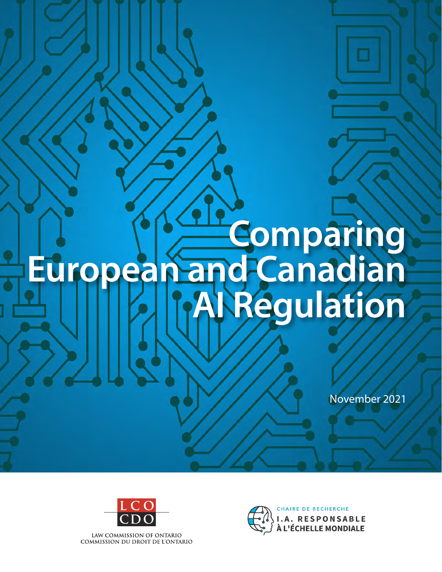# **Comparing European and Canadian AI Regulation**

November 2021



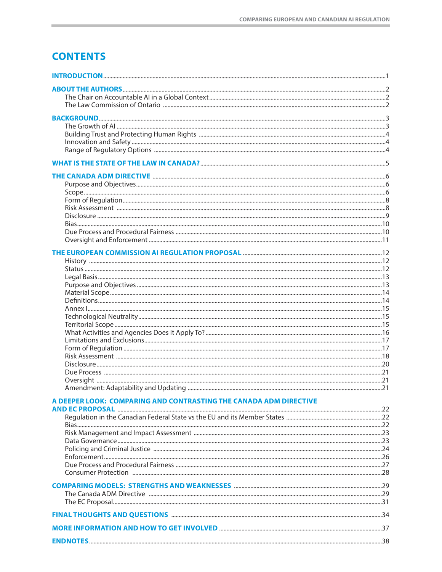# **CONTENTS**

| A DEEPER LOOK: COMPARING AND CONTRASTING THE CANADA ADM DIRECTIVE |  |
|-------------------------------------------------------------------|--|
|                                                                   |  |
|                                                                   |  |
|                                                                   |  |
|                                                                   |  |
|                                                                   |  |
|                                                                   |  |
|                                                                   |  |
|                                                                   |  |
|                                                                   |  |
|                                                                   |  |
|                                                                   |  |
|                                                                   |  |
|                                                                   |  |
|                                                                   |  |
|                                                                   |  |
|                                                                   |  |
|                                                                   |  |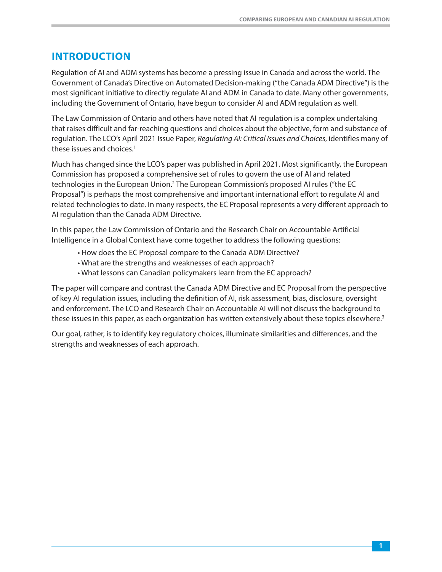# <span id="page-2-0"></span>**INTRODUCTION**

Regulation of AI and ADM systems has become a pressing issue in Canada and across the world. The Government of Canada's Directive on Automated Decision-making ("the Canada ADM Directive") is the most significant initiative to directly regulate AI and ADM in Canada to date. Many other governments, including the Government of Ontario, have begun to consider AI and ADM regulation as well.

The Law Commission of Ontario and others have noted that AI regulation is a complex undertaking that raises difficult and far-reaching questions and choices about the objective, form and substance of regulation. The LCO's Apr[il](#page-39-0) 2021 Issue Paper, Regulating AI: Critical Issues and Choices, identifies many of these issues and [c](#page-39-0)hoices.<sup>[1](#page-39-0)</sup>

Much has changed since the LCO's paper was published in April 2021. Most significantly, the European Commission has proposed a comprehensive set of rules to govern the use of AI and related technologies in the European [Union.2](#page-39-0) The European Commission's proposed AI rules ("the EC Proposal") is perhaps the most comprehensive and important international effort to regulate AI and related technologies to date. In many respects, the EC Proposal represents a very different approach to AI regulation than the Canada ADM Directive.

In this paper, the Law Commission of Ontario and the Research Chair on Accountable Artificial Intelligence in a Global Context have come together to address the following questions:

- How does the EC Proposal compare to the Canada ADM Directive?
- What are the strengths and weaknesses of each approach?
- What lessons can Canadian policymakers learn from the EC approach?

The paper will compare and contrast the Canada ADM Directive and EC Proposal from the perspective of key AI regulation issues, including the definition of AI, risk assessment, bias, disclosure, oversight and enforcement. The LCO and Research Chair on Accountable AI will not discuss the background to these issue[s](#page-39-0) in this paper, as each organization has written extensively about these topics elsewhere.<sup>[3](#page-39-0)</sup>

Our goal, rather, is to identify key regulatory choices, illuminate similarities and differences, and the strengths and weaknesses of each approach.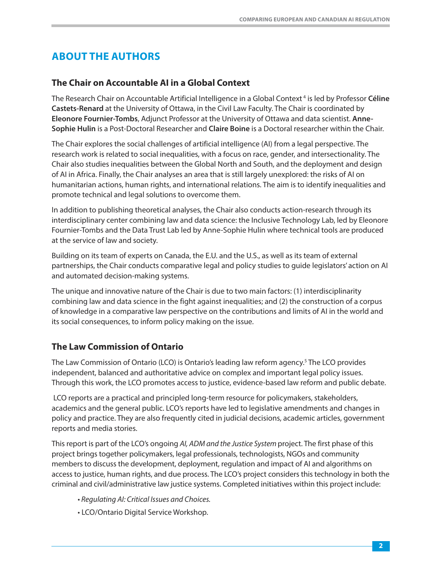# <span id="page-3-0"></span>**ABOUT THE AUTHORS**

#### **The Chair on Accountable AI in a Global Context**

The Research Chair on Accountable Artificial Intelligence in a Global [C](#page-39-0)ontext [4](#page-39-0) is led by Professor **Céline Castets-Renard** at the University of Ottawa, in the Civil Law Faculty. The Chair is coordinated by **Eleonore Fournier-Tombs**, Adjunct Professor at the University of Ottawa and data scientist. **Anne-Sophie Hulin** is a Post-Doctoral Researcher and **Claire Boine** is a Doctoral researcher within the Chair.

The Chair explores the social challenges of artificial intelligence (AI) from a legal perspective. The research work is related to social inequalities, with a focus on race, gender, and intersectionality. The Chair also studies inequalities between the Global North and South, and the deployment and design of AI in Africa. Finally, the Chair analyses an area that is still largely unexplored: the risks of AI on humanitarian actions, human rights, and international relations. The aim is to identify inequalities and promote technical and legal solutions to overcome them.

In addition to publishing theoretical analyses, the Chair also conducts action-research through its interdisciplinary center combining law and data science: the Inclusive Technology Lab, led by Eleonore Fournier-Tombs and the Data Trust Lab led by Anne-Sophie Hulin where technical tools are produced at the service of law and society.

Building on its team of experts on Canada, the E.U. and the U.S., as well as its team of external partnerships, the Chair conducts comparative legal and policy studies to guide legislators' action on AI and automated decision-making systems.

The unique and innovative nature of the Chair is due to two main factors: (1) interdisciplinarity combining law and data science in the fight against inequalities; and (2) the construction of a corpus of knowledge in a comparative law perspective on the contributions and limits of AI in the world and its social consequences, to inform policy making on the issue.

# **The Law Commission of Ontario**

The Law Commission of Ontario (LCO) is Ontario's leading law reform [a](#page-39-0)gency.5 The LCO provides independent, balanced and authoritative advice on complex and important legal policy issues. Through this work, the LCO promotes access to justice, evidence-based law reform and public debate.

 LCO reports are a practical and principled long-term resource for policymakers, stakeholders, academics and the general public. LCO's reports have led to legislative amendments and changes in policy and practice. They are also frequently cited in judicial decisions, academic articles, government reports and media stories.

This report is part of the LCO's ongoing [AI, ADM and the Justice System](https://www.lco-cdo.org/en/our-current-projects/ai-adm-and-the-justice-system/) project. The first phase of this project brings together policymakers, legal professionals, technologists, NGOs and community members to discuss the development, deployment, regulation and impact of AI and algorithms on access to justice, human rights, and due process. The LCO's project considers this technology in both the criminal and civil/administrative law justice systems. Completed initiatives within this project include:

- • [Regulating AI: Critical Issues and Choices.](https://www.lco-cdo.org/en/our-current-projects/ai-adm-and-the-justice-system/regulating-ai-critical-issues-and-choices/)
- LCO/Ontario Digital Service Workshop.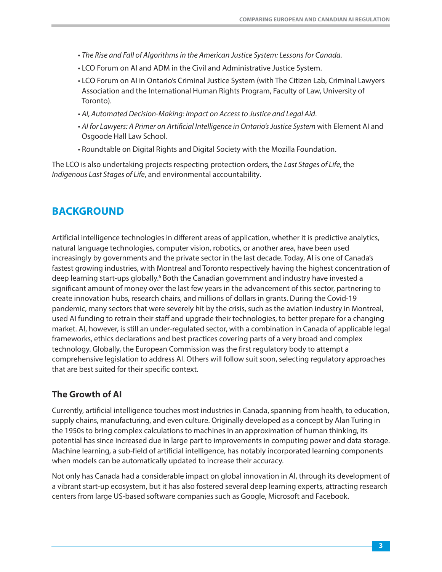- <span id="page-4-0"></span>• [The Rise and Fall of Algorithms in the American Justice System: Lessons for Canada.](https://www.lco-cdo.org/en/our-current-projects/ai-adm-and-the-justice-system/ai-in-criminal-justice-in-ontario/)
- LCO Forum on AI and ADM in the Civil and Administrative Justice System.
- LCO Forum on AI in Ontario's Criminal Justice System (with The Citizen Lab, Criminal Lawyers Association and the International Human Rights Program, Faculty of Law, University of Toronto).
- [AI, Automated Decision-Making: Impact on Access to Justice and Legal Aid](https://www.lco-cdo.org/wp-content/uploads/2019/06/LCO-ILAG-Paper-AI-Legal-Aid-and-Access-to-Justice-June-3-2019.pdf).
- [AI for Lawyers: A Primer on Artificial Intelligence in Ontario's Justice System](https://www.lco-cdo.org/en/our-current-projects/law-reform-and-technology/digitalrights-aiforlawyers/) with Element AI and Osgoode Hall Law School.
- Roundtable on Digital Rights and Digital Society with the Mozilla Foundation.

The LCO is also undertaking projects respecting protection orders, the [Last Stages of Life](https://www.lco-cdo.org/en/our-current-projects/improving-the-last-stages-of-life/), the [Indigenous Last Stages of Life](https://www.lco-cdo.org/en/our-current-projects/indigenous-engagement-for-last-stages-of-life/), and [environmental accountability.](https://www.lco-cdo.org/en/our-current-projects/environmental-accountability-rights-responsibilities-and-access-to-justice/)

# **BACKGROUND**

Artificial intelligence technologies in different areas of application, whether it is predictive analytics, natural language technologies, computer vision, robotics, or another area, have been used increasingly by governments and the private sector in the last decade. Today, AI is one of Canada's fastest growing industries, with [M](#page-39-0)ontreal and Toronto respectively having the highest concentration of deep learning start-ups [g](#page-39-0)lobally.<sup>6</sup> Both the Canadian government and industry have invested a significant amount of money over the last few years in the advancement of this sector, partnering to create innovation hubs, research chairs, and millions of dollars in grants. During the Covid-19 pandemic, many sectors that were severely hit by the crisis, such as the aviation industry in Montreal, used AI funding to retrain their staff and upgrade their technologies, to better prepare for a changing market. AI, however, is still an under-regulated sector, with a combination in Canada of applicable legal frameworks, ethics declarations and best practices covering parts of a very broad and complex technology. Globally, the European Commission was the first regulatory body to attempt a comprehensive legislation to address AI. Others will follow suit soon, selecting regulatory approaches that are best suited for their specific context.

# **The Growth of AI**

Currently, artificial intelligence touches most industries in Canada, spanning from health, to education, supply chains, manufacturing, and even culture. Originally developed as a concept by Alan Turing in the 1950s to bring complex calculations to machines in an approximation of human thinking, its potential has since increased due in large part to improvements in computing power and data storage. Machine learning, a sub-field of artificial intelligence, has notably incorporated learning components when models can be automatically updated to increase their accuracy.

Not only has Canada had a considerable impact on global innovation in AI, through its development of a vibrant start-up ecosystem, but it has also fostered several deep learning experts, attracting research centers from large US-based software companies such as Google, Microsoft and Facebook.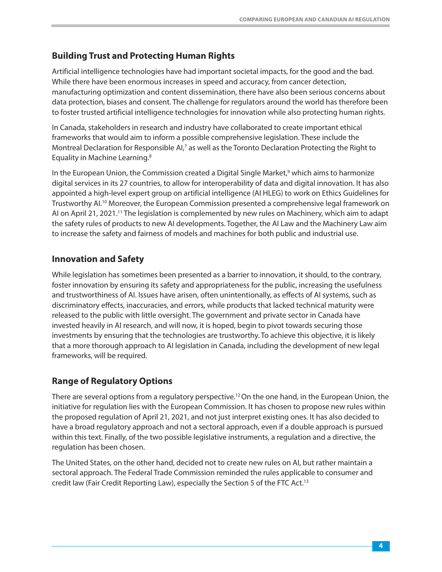## <span id="page-5-0"></span>**Building Trust and Protecting Human Rights**

Artificial intelligence technologies have had important societal impacts, for the good and the bad. While there have been enormous increases in speed and accuracy, from cancer detection, manufacturing optimization and content dissemination, there have also been serious concerns about data protection, biases and consent. The challenge for regulators around the world has therefore been to foster trusted artificial intelligence technologies for innovation while also protecting human rights.

In Canada, stakeholders in research and industry have collaborated to create important ethical frameworks that would aim to inform a [po](#page-39-0)ssible comprehensive legislation. These include the Montreal Declaration for [R](#page-39-0)esp[o](#page-39-0)nsible AI,<sup>7</sup> as well as the Toronto Declaration Protecting the Right to Equality in [M](#page-39-0)achine Learning.8

In the European Union, the Commission created a Digital Single [M](#page-39-0)arket,<sup>[9](#page-39-0)</sup> which aims to harmonize digital services in its 27 countries, to allow for interoperability of data and digital innovation. It has also appointed a high-level expert group on artificial intelligence (AI HLEG) to work on Ethics Guidelines for [T](#page-39-0)rustworthy AI.1[0](#page-39-0) Moreover, the European Commission presented a comprehensive legal framework on AI on April [2](#page-39-0)1, 2021.<sup>11</sup> The legislation is complemented by new rules on Machinery, which aim to adapt the safety rules of products to new AI developments. Together, the AI Law and the Machinery Law aim to increase the safety and fairness of models and machines for both public and industrial use.

#### **Innovation and Safety**

While legislation has sometimes been presented as a barrier to innovation, it should, to the contrary, foster innovation by ensuring its safety and appropriateness for the public, increasing the usefulness and trustworthiness of AI. Issues have arisen, often unintentionally, as effects of AI systems, such as discriminatory effects, inaccuracies, and errors, while products that lacked technical maturity were released to the public with little oversight. The government and private sector in Canada have invested heavily in AI research, and will now, it is hoped, begin to pivot towards securing those investments by ensuring that the technologies are trustworthy. To achieve this objective, it is likely that a more thorough approach to AI legislation in Canada, including the development of new legal frameworks, will be required.

# **Range of Regulatory Options**

There are several options from a regulatory [p](#page-39-0)erspective.<sup>1[2](#page-39-0)</sup> On the one hand, in the European Union, the initiative for regulation lies with the European Commission. It has chosen to propose new rules within the proposed regulation of April 21, 2021, and not just interpret existing ones. It has also decided to have a broad regulatory approach and not a sectoral approach, even if a double approach is pursued within this text. Finally, of the two possible legislative instruments, a regulation and a directive, the regulation has been chosen.

The United States, on the other hand, decided not to create new rules on AI, but rather maintain a sectoral approach. The Federal Trade Commission reminded the rules applica[bl](#page-39-0)e to consumer and credit law (Fair Credit Reporting Law), especially the Section 5 of the [F](#page-39-0)TC Act.13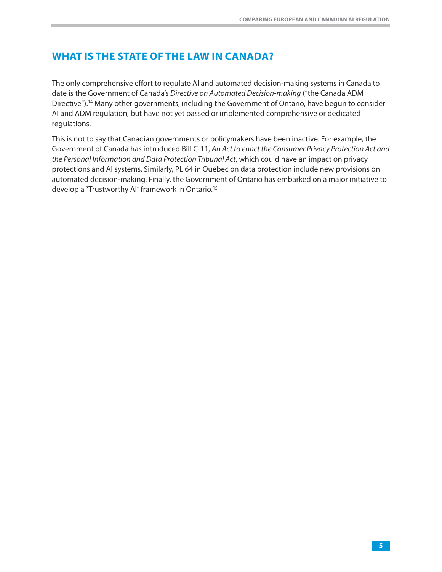# **WHAT IS THE STATE OF THE LAW IN CANADA?**

The only comprehensive effort to regulate AI and automated decision-making systems in Canada to date is the Government of Canada's Directive on Automated Decision-making ("the Canada ADM [D](#page-39-0)irective").1[4](#page-39-0) Many other governments, including the Government of Ontario, have begun to consider AI and ADM regulation, but have not yet passed or implemented comprehensive or dedicated regulations.

This is not to say that Canadian governments or policymakers have been inactive. For example, the Government of Canada has introduced Bill C-11, An Act to enact the Consumer Privacy Protection Act and the Personal Information and Data Protection Tribunal Act, which could have an impact on privacy protections and AI systems. Similarly, PL 64 in Québec on data protection include new provisions on automated decision-making. Finally, the Governm[e](#page-39-0)nt of Ontario has embarked on a major initiative to develop a "Trustworthy AI" framework in [O](#page-39-0)ntario.15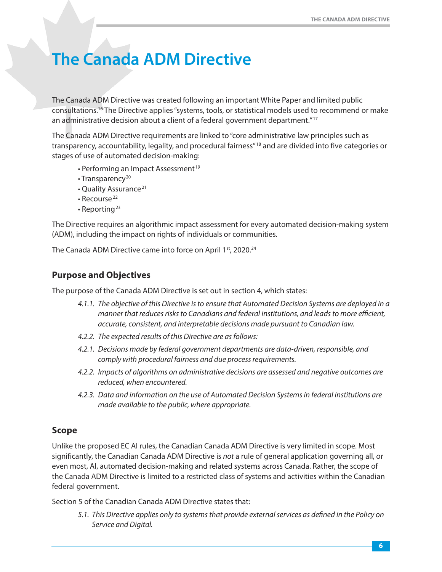# <span id="page-7-0"></span>**The Canada ADM Directive**

The Canada A[DM](#page-39-0) Directive was created following an important White Paper and limited public [c](#page-39-0)onsultations.16 The Directive applies "systems, tools, or statistical models used t[o r](#page-39-0)ecommend or make an administrative decision about a client of a federal government [de](#page-39-0)partment."17

The Canada ADM Directive requirements are linked to "core ad[m](#page-39-0)inistrative law principles such as transparency, accountability, legality, and procedura[l](#page-39-0) fairness"<sup>18</sup> and are divided into five categories or stages of use of automated decision-making[:](#page-39-0) 

- Performing an [Im](#page-39-0)pac[t A](#page-39-0)ssessment<sup>19</sup>
- $\cdot$  Transparency<sup>20</sup>
- [Q](#page-39-0)uality As[su](#page-39-0)rance<sup>21</sup>
- [R](#page-39-0)ecourse<sup>22</sup>
- $\cdot$  Reporting<sup>2[3](#page-39-0)</sup>

The Directive requires an algorithmic impact assessment for every automated decision-making system (ADM), including the impact on rights of individuals or communities.

The Canada ADM Directive came into force on April 1st[, 2](#page-39-0)020.<sup>24</sup>

#### **Purpose and Objectives**

The purpose of the Canada ADM Directive is set out in section 4, which states:

- 4.1.1. The objective of this Directive is to ensure that Automated Decision Systems are deployed in a manner that reduces risks to Canadians and federal institutions, and leads to more efficient, accurate, consistent, and interpretable decisions made pursuant to Canadian law.
- 4.2.2. The expected results of this Directive are as follows:
- 4.2.1. Decisions made by federal government departments are data-driven, responsible, and comply with procedural fairness and due process requirements.
- 4.2.2. Impacts of algorithms on administrative decisions are assessed and negative outcomes are reduced, when encountered.
- 4.2.3. Data and information on the use of Automated Decision Systems in federal institutions are made available to the public, where appropriate.

#### **Scope**

Unlike the proposed EC AI rules, the Canadian Canada ADM Directive is very limited in scope. Most significantly, the Canadian Canada ADM Directive is not a rule of general application governing all, or even most, AI, automated decision-making and related systems across Canada. Rather, the scope of the Canada ADM Directive is limited to a restricted class of systems and activities within the Canadian federal government.

Section 5 of the Canadian Canada ADM Directive states that:

5.1. This Directive applies only to systems that provide external services as defined in the Policy on Service and Digital.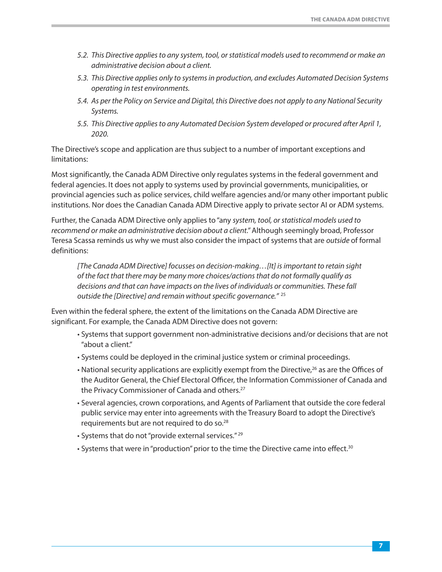- 5.2. This Directive applies to any system, tool, or statistical models used to recommend or make an administrative decision about a client.
- 5.3. This Directive applies only to systems in production, and excludes Automated Decision Systems operating in test environments.
- 5.4. As per the Policy on Service and Digital, this Directive does not apply to any National Security Systems.
- 5.5. This Directive applies to any Automated Decision System developed or procured after April 1, 2020.

The Directive's scope and application are thus subject to a number of important exceptions and limitations:

Most significantly, the Canada ADM Directive only regulates systems in the federal government and federal agencies. It does not apply to systems used by provincial governments, municipalities, or provincial agencies such as police services, child welfare agencies and/or many other important public institutions. Nor does the Canadian Canada ADM Directive apply to private sector AI or ADM systems.

Further, the Canada ADM Directive only applies to "any system, tool, or statistical models used to recommend or make an administrative decision about a client." Although seemingly broad, Professor Teresa Scassa reminds us why we must also consider the impact of systems that are outside of formal definitions:

[The Canada ADM Directive] focusses on decision-making…[It] is important to retain sight of the fact that there may be many more choices/actions that do not formally qualify as decisions and that can have impacts on the lives of individuals or [co](#page-39-0)mmunities. These fall outside the [Directive] and remain without specifi[c g](#page-39-0)overnance." <sup>25</sup>

Even within the federal sphere, the extent of the limitations on the Canada ADM Directive are significant. For example, the Canada ADM Directive does not govern:

- Systems that support government non-administrative decisions and/or decisions that are not "about a client."
- Systems could be deployed in the criminal justice system or criminal proceedings.
- National security applications are explicitly exempt from the Directive,<sup>26</sup> as are the Offices of the Auditor General, the Chief Electoral Officer, t[he](#page-40-0) Information Commissioner of Canada and the Privacy Commissioner of Canada an[d o](#page-40-0)thers.<sup>27</sup>
- Several agencies, crown corporations, and Agents of Parliament that outside the core federal public service may enter into agreements w[ith](#page-40-0) the Treasury Board to adopt the Directive's requirements but are not required t[o d](#page-40-0)o so.28
- Systems that do not "provide external [s](#page-40-0)ervices." 2[9](#page-40-0)
- Systems that were in "production" prior to the time the Directive came into [e](#page-40-0)ffect.<sup>3[0](#page-40-0)</sup>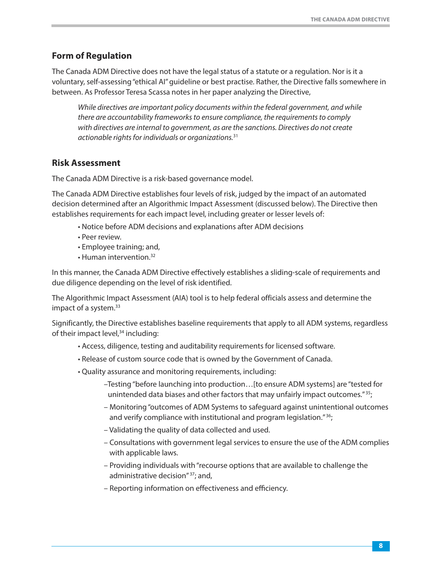#### <span id="page-9-0"></span>**Form of Regulation**

The Canada ADM Directive does not have the legal status of a statute or a regulation. Nor is it a voluntary, self-assessing "ethical AI" guideline or best practise. Rather, the Directive falls somewhere in between. As Professor Teresa Scassa notes in her paper analyzing the Directive,

While directives are important policy documents within the federal government, and while there are accountability frameworks to ensure compliance, the requirements to comply with directives are internal to government, as are t[h](#page-40-0)e sanctions. Directives do not create actionable rights for individuals [o](#page-40-0)r organizations.<sup>31</sup>

#### **Risk Assessment**

The Canada ADM Directive is a risk-based governance model.

The Canada ADM Directive establishes four levels of risk, judged by the impact of an automated decision determined after an Algorithmic Impact Assessment (discussed below). The Directive then establishes requirements for each impact level, including greater or lesser levels of:

- Notice before ADM decisions and explanations after ADM decisions
- Peer review.
- Employee training; a[nd,](#page-40-0)
- Huma[n i](#page-40-0)ntervention.32

In this manner, the Canada ADM Directive effectively establishes a sliding-scale of requirements and due diligence depending on the level of risk identified.

The Algorithmic Im[pa](#page-40-0)ct Assessment (AIA) tool is to help federal officials assess and determine the impact of [a s](#page-40-0)ystem.<sup>33</sup>

Significantly, the Directive establishes baseline requirements that apply to all ADM systems, regardless of their impact level, $34$  including:

- Access, diligence, testing and auditability requirements for licensed software.
- Release of custom source code that is owned by the Government of Canada.
- Quality assurance and monitoring requirements, including:
	- –Testing "before launching into production…[to ensure ADM syste[ms\] are "tested f](#page-40-0)or unintended data biases and other factors that may unfairly impact outcomes." 35;
	- Monitoring "outcomes of ADM Systems to safeguard [against uninten](#page-40-0)tional outcomes and verify compliance with institutional and program legislation."<sup>36</sup>;
	- Validating the quality of data collected and used.
	- Consultations with government legal services to ensure the use of the ADM complies with applicable laws.
	- Providing indi[viduals with "](#page-40-0)recourse options that are available to challenge the administrative decision"<sup>37</sup>; and,
	- Reporting information on effectiveness and efficiency.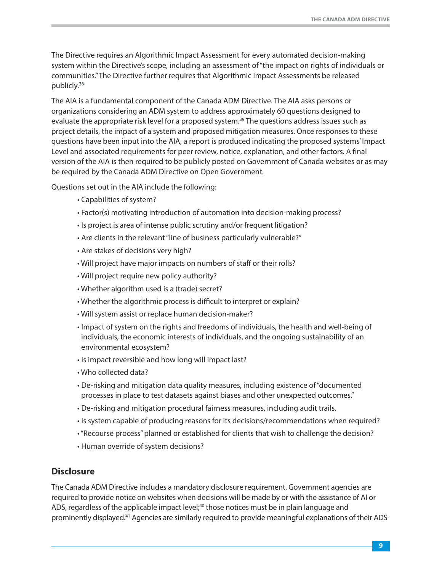<span id="page-10-0"></span>The Directive requires an Algorithmic Impact Assessment for every automated decision-making system within the Directive's scope, including an assessment of "the impact on rights of individuals or commun[iti](#page-40-0)es." The Directive further requires that Algorithmic Impact Assessments be released [p](#page-40-0)ublicly.38

The AIA is a fundamental component of the Canada ADM Directive. The AIA asks persons or organizations considering an ADM system to address app[ro](#page-41-0)ximately 60 questions designed to evaluate the appropriate risk level for a [p](#page-41-0)roposed system.<sup>39</sup> The questions address issues such as project details, the impact of a system and proposed mitigation measures. Once responses to these questions have been input into the AIA, a report is produced indicating the proposed systems' Impact Level and associated requirements for peer review, notice, explanation, and other factors. A final version of the AIA is then required to be publicly posted on Government of Canada websites or as may be required by the Canada ADM Directive on Open Government.

Questions set out in the AIA include the following:

- Capabilities of system?
- Factor(s) motivating introduction of automation into decision-making process?
- Is project is area of intense public scrutiny and/or frequent litigation?
- Are clients in the relevant "line of business particularly vulnerable?"
- Are stakes of decisions very high?
- Will project have major impacts on numbers of staff or their rolls?
- Will project require new policy authority?
- Whether algorithm used is a (trade) secret?
- Whether the algorithmic process is difficult to interpret or explain?
- Will system assist or replace human decision-maker?
- Impact of system on the rights and freedoms of individuals, the health and well-being of individuals, the economic interests of individuals, and the ongoing sustainability of an environmental ecosystem?
- Is impact reversible and how long will impact last?
- Who collected data?
- De-risking and mitigation data quality measures, including existence of "documented processes in place to test datasets against biases and other unexpected outcomes."
- De-risking and mitigation procedural fairness measures, including audit trails.
- Is system capable of producing reasons for its decisions/recommendations when required?
- "Recourse process" planned or established for clients that wish to challenge the decision?
- Human override of system decisions?

#### **Disclosure**

The Canada ADM Directive includes a mandatory disclosure requirement. Government agencies are required to provide notice on websites when d[ec](#page-40-0)isions will be made by or with the assistance of AI or ADS, regardless of the a[pp](#page-40-0)licable [i](#page-40-0)mpact level;<sup>40</sup> those notices must be in plain language and prominentl[y d](#page-40-0)isplayed.41 Agencies are similarly required to provide meaningful explanations of their ADS-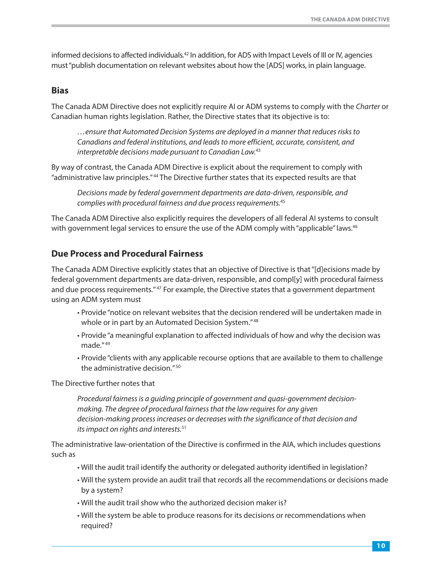<span id="page-11-0"></span>informed decisions to affecte[d i](#page-40-0)ndividuals.<sup>42</sup> In addition, for ADS with Impact Levels of III or IV, agencies must "publish documentation on relevant websites about how the [ADS] works, in plain language.

#### **Bias**

The Canada ADM Directive does not explicitly require AI or ADM systems to comply with the Charter or Canadian human rights legislation. Rather, the Directive states that its objective is to:

…ensure that Automated Decision Systems are deployed in a manner that reduces risks to Canadians and federal institutions, and leads to more effi[cie](#page-40-0)nt, accurate, consistent, and interpretable decisions made pursuant t[o C](#page-40-0)anadian Law.<sup>43</sup>

By way of contrast, the Canada [AD](#page-40-0)M Directive is explicit about the requirement to comply with "administrative la[w p](#page-40-0)rinciples." 44 The Directive further states that its expected results are that

Decisions made by federal government departments are data-dri[ve](#page-40-0)n, responsible, and complies with procedural fairness and due proces[s](#page-40-0) requirements.<sup>45</sup>

The Canada ADM Directive also explicitly requires the developers of all federal AI systems to [co](#page-40-0)nsult with government legal services to ensure the use of the ADM comply with "applicable[" la](#page-40-0)ws.<sup>46</sup>

#### **Due Process and Procedural Fairness**

The Canada ADM Directive explicitly states that an objective of Directive is that "[d]ecisions made by federal government department[s](#page-40-0) are data-driven, responsible, and compl[y] with procedural fairness and due proces[s r](#page-40-0)equirements."47 For example, the Directive states that a government department using an ADM system must

- Provide "notice on relevant websites that the decisio[n r](#page-40-0)endered will be undertaken made in whole or in part by an Automate[d D](#page-40-0)ecision System."<sup>48</sup>
- [P](#page-40-0)rovide ["a](#page-40-0) meaningful explanation to affected individuals of how and why the decision was made." 49
- Provide "clients with any appl[ic](#page-40-0)able recourse options that are available to them to challenge the administrative [d](#page-40-0)ecision." <sup>50</sup>

The Directive further notes that

Procedural fairness is a guiding principle of government and quasi-government decisionmaking. The degree of procedural fairness that the law requires for any given decision-making process increase[s o](#page-40-0)r decreases with the significance of that decision and its impact on rights an[d i](#page-40-0)nterests.<sup>51</sup>

The administrative law-orientation of the Directive is confirmed in the AIA, which includes questions such as

- Will the audit trail identify the authority or delegated authority identified in legislation?
- Will the system provide an audit trail that records all the recommendations or decisions made by a system?
- Will the audit trail show who the authorized decision maker is?
- Will the system be able to produce reasons for its decisions or recommendations when required?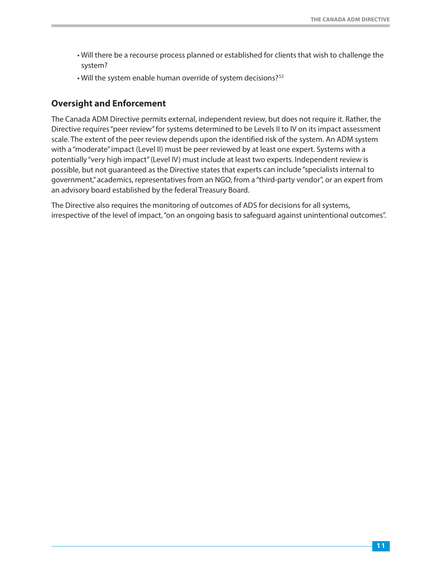- <span id="page-12-0"></span>• Will there be a recourse process planned or established for clients that wish to challenge the system?
- Will the system enable human override of syste[m d](#page-40-0)ecisions?<sup>52</sup>

#### **Oversight and Enforcement**

The Canada ADM Directive permits external, independent review, but does not require it. Rather, the Directive requires "peer review" for systems determined to be Levels II to IV on its impact assessment scale. The extent of the peer review depends upon the identified risk of the system. An ADM system with a "moderate" impact (Level II) must be peer reviewed by at least one expert. Systems with a potentially "very high impact" (Level IV) must include at least two experts. Independent review is possible, but not guaranteed as the Directive states that experts can include "specialists internal to government," academics, representatives from an NGO, from a "third-party vendor", or an expert from an advisory board established by the federal Treasury Board.

The Directive also requires the monitoring of outcomes of ADS for decisions for all systems, irrespective of the level of impact, "on an ongoing basis to safeguard against unintentional outcomes".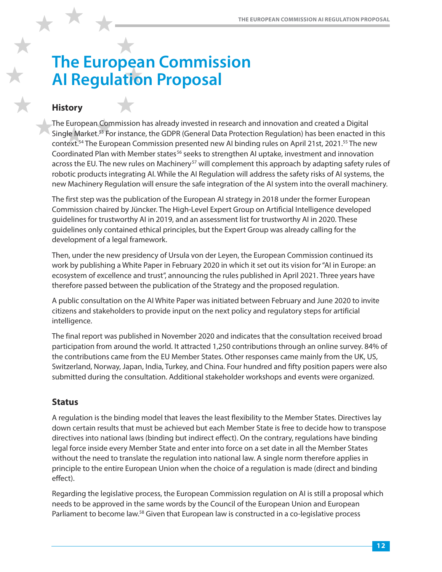# <span id="page-13-0"></span>**The European Commission AI Regulation Proposal**

# **History**

The European Commission has already invested in research and innovation and created a Digital Single Market[.53](#page-40-0) For instance, the GDPR (General Data Protection Regulation) has been enacted in this context[.54](#page-40-0) The European Commission presented new AI binding rules on April 21st, 2021[.55](#page-40-0) The new Coordinated Plan with Member states<sup>56</sup> seeks to strengthen AI uptake, investment and innovation across the EU. The new rules on Machinery<sup>57</sup> will complement this approach by adapting safety rules of robotic products integrating AI. While the AI Regulation will address the safety risks of AI systems, the new Machinery Regulation will ensure the safe integration of the AI system into the overall machinery.

The first step was the publication of the European AI strategy in 2018 under the former European Commission chaired by Jüncker. The High-Level Expert Group on Artificial Intelligence developed guidelines for trustworthy AI in 2019, and an assessment list for trustworthy AI in 2020. These guidelines only contained ethical principles, but the Expert Group was already calling for the development of a legal framework.

Then, under the new presidency of Ursula von der Leyen, the European Commission continued its work by publishing a White Paper in February 2020 in which it set out its vision for "AI in Europe: an ecosystem of excellence and trust", announcing the rules published in April 2021. Three years have therefore passed between the publication of the Strategy and the proposed regulation.

A public consultation on the AI White Paper was initiated between February and June 2020 to invite citizens and stakeholders to provide input on the next policy and regulatory steps for artificial intelligence.

The final report was published in November 2020 and indicates that the consultation received broad participation from around the world. It attracted 1,250 contributions through an online survey. 84% of the contributions came from the EU Member States. Other responses came mainly from the UK, US, Switzerland, Norway, Japan, India, Turkey, and China. Four hundred and fifty position papers were also submitted during the consultation. Additional stakeholder workshops and events were organized.

# **Status**

A regulation is the binding model that leaves the least flexibility to the Member States. Directives lay down certain results that must be achieved but each Member State is free to decide how to transpose directives into national laws (binding but indirect effect). On the contrary, regulations have binding legal force inside every Member State and enter into force on a set date in all the Member States without the need to translate the regulation into national law. A single norm therefore applies in principle to the entire European Union when the choice of a regulation is made (direct and binding effect).

Regarding the legislative process, the European Commission regulation on AI is still a proposal which needs to be approved in the same words by the Council of the European Union and European Parliament to become law.<sup>58</sup> Given that European law is constructed in a co-legislative process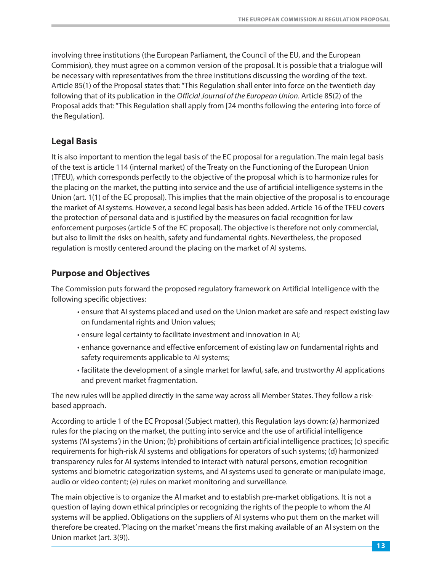<span id="page-14-0"></span>involving three institutions (the European Parliament, the Council of the EU, and the European Commision), they must agree on a common version of the proposal. It is possible that a trialogue will be necessary with representatives from the three institutions discussing the wording of the text. Article 85(1) of the Proposal states that: "This Regulation shall enter into force on the twentieth day following that of its publication in the Official Journal of the European Union. Article 85(2) of the Proposal adds that: "This Regulation shall apply from [24 months following the entering into force of the Regulation].

#### **Legal Basis**

It is also important to mention the legal basis of the EC proposal for a regulation. The main legal basis of the text is article 114 (internal market) of the Treaty on the Functioning of the European Union (TFEU), which corresponds perfectly to the objective of the proposal which is to harmonize rules for the placing on the market, the putting into service and the use of artificial intelligence systems in the Union (art. 1(1) of the EC proposal). This implies that the main objective of the proposal is to encourage the market of AI systems. However, a second legal basis has been added. Article 16 of the TFEU covers the protection of personal data and is justified by the measures on facial recognition for law enforcement purposes (article 5 of the EC proposal). The objective is therefore not only commercial, but also to limit the risks on health, safety and fundamental rights. Nevertheless, the proposed regulation is mostly centered around the placing on the market of AI systems.

#### **Purpose and Objectives**

The Commission puts forward the proposed regulatory framework on Artificial Intelligence with the following specific objectives:

- ensure that AI systems placed and used on the Union market are safe and respect existing law on fundamental rights and Union values;
- ensure legal certainty to facilitate investment and innovation in AI;
- enhance governance and effective enforcement of existing law on fundamental rights and safety requirements applicable to AI systems;
- facilitate the development of a single market for lawful, safe, and trustworthy AI applications and prevent market fragmentation.

The new rules will be applied directly in the same way across all Member States. They follow a riskbased approach.

According to article 1 of the EC Proposal (Subject matter), this Regulation lays down: (a) harmonized rules for the placing on the market, the putting into service and the use of artificial intelligence systems ('AI systems') in the Union; (b) prohibitions of certain artificial intelligence practices; (c) specific requirements for high-risk AI systems and obligations for operators of such systems; (d) harmonized transparency rules for AI systems intended to interact with natural persons, emotion recognition systems and biometric categorization systems, and AI systems used to generate or manipulate image, audio or video content; (e) rules on market monitoring and surveillance.

The main objective is to organize the AI market and to establish pre-market obligations. It is not a question of laying down ethical principles or recognizing the rights of the people to whom the AI systems will be applied. Obligations on the suppliers of AI systems who put them on the market will therefore be created. 'Placing on the market' means the first making available of an AI system on the Union market (art. 3(9)).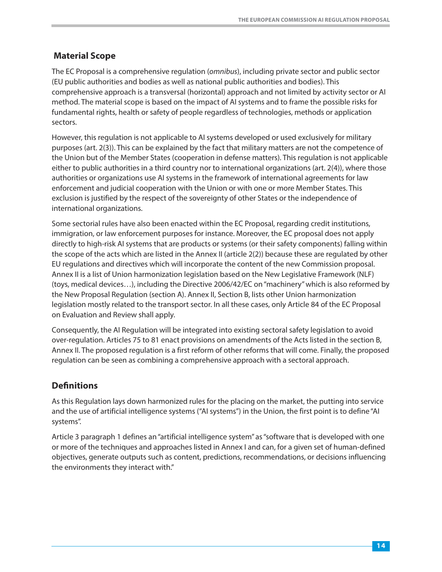# <span id="page-15-0"></span>**Material Scope**

The EC Proposal is a comprehensive regulation (omnibus), including private sector and public sector (EU public authorities and bodies as well as national public authorities and bodies). This comprehensive approach is a transversal (horizontal) approach and not limited by activity sector or AI method. The material scope is based on the impact of AI systems and to frame the possible risks for fundamental rights, health or safety of people regardless of technologies, methods or application sectors.

However, this regulation is not applicable to AI systems developed or used exclusively for military purposes (art. 2(3)). This can be explained by the fact that military matters are not the competence of the Union but of the Member States (cooperation in defense matters). This regulation is not applicable either to public authorities in a third country nor to international organizations (art. 2(4)), where those authorities or organizations use AI systems in the framework of international agreements for law enforcement and judicial cooperation with the Union or with one or more Member States. This exclusion is justified by the respect of the sovereignty of other States or the independence of international organizations.

Some sectorial rules have also been enacted within the EC Proposal, regarding credit institutions, immigration, or law enforcement purposes for instance. Moreover, the EC proposal does not apply directly to high-risk AI systems that are products or systems (or their safety components) falling within the scope of the acts which are listed in the Annex II (article 2(2)) because these are regulated by other EU regulations and directives which will incorporate the content of the new Commission proposal. Annex II is a list of Union harmonization legislation based on the New Legislative Framework (NLF) (toys, medical devices…), including the Directive 2006/42/EC on "machinery" which is also reformed by the New Proposal Regulation (section A). Annex II, Section B, lists other Union harmonization legislation mostly related to the transport sector. In all these cases, only Article 84 of the EC Proposal on Evaluation and Review shall apply.

Consequently, the AI Regulation will be integrated into existing sectoral safety legislation to avoid over-regulation. Articles 75 to 81 enact provisions on amendments of the Acts listed in the section B, Annex II. The proposed regulation is a first reform of other reforms that will come. Finally, the proposed regulation can be seen as combining a comprehensive approach with a sectoral approach.

# **Definitions**

As this Regulation lays down harmonized rules for the placing on the market, the putting into service and the use of artificial intelligence systems ("AI systems") in the Union, the first point is to define "AI systems".

Article 3 paragraph 1 defines an "artificial intelligence system" as "software that is developed with one or more of the techniques and approaches listed in Annex I and can, for a given set of human-defined objectives, generate outputs such as content, predictions, recommendations, or decisions influencing the environments they interact with."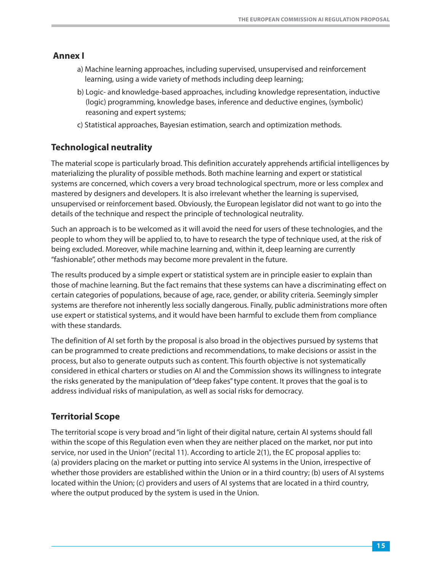#### <span id="page-16-0"></span>**Annex I**

- a) Machine learning approaches, including supervised, unsupervised and reinforcement learning, using a wide variety of methods including deep learning;
- b) Logic- and knowledge-based approaches, including knowledge representation, inductive (logic) programming, knowledge bases, inference and deductive engines, (symbolic) reasoning and expert systems;
- c) Statistical approaches, Bayesian estimation, search and optimization methods.

# **Technological neutrality**

The material scope is particularly broad. This definition accurately apprehends artificial intelligences by materializing the plurality of possible methods. Both machine learning and expert or statistical systems are concerned, which covers a very broad technological spectrum, more or less complex and mastered by designers and developers. It is also irrelevant whether the learning is supervised, unsupervised or reinforcement based. Obviously, the European legislator did not want to go into the details of the technique and respect the principle of technological neutrality.

Such an approach is to be welcomed as it will avoid the need for users of these technologies, and the people to whom they will be applied to, to have to research the type of technique used, at the risk of being excluded. Moreover, while machine learning and, within it, deep learning are currently "fashionable", other methods may become more prevalent in the future.

The results produced by a simple expert or statistical system are in principle easier to explain than those of machine learning. But the fact remains that these systems can have a discriminating effect on certain categories of populations, because of age, race, gender, or ability criteria. Seemingly simpler systems are therefore not inherently less socially dangerous. Finally, public administrations more often use expert or statistical systems, and it would have been harmful to exclude them from compliance with these standards.

The definition of AI set forth by the proposal is also broad in the objectives pursued by systems that can be programmed to create predictions and recommendations, to make decisions or assist in the process, but also to generate outputs such as content. This fourth objective is not systematically considered in ethical charters or studies on AI and the Commission shows its willingness to integrate the risks generated by the manipulation of "deep fakes" type content. It proves that the goal is to address individual risks of manipulation, as well as social risks for democracy.

# **Territorial Scope**

The territorial scope is very broad and "in light of their digital nature, certain AI systems should fall within the scope of this Regulation even when they are neither placed on the market, nor put into service, nor used in the Union" (recital 11). According to article 2(1), the EC proposal applies to: (a) providers placing on the market or putting into service AI systems in the Union, irrespective of whether those providers are established within the Union or in a third country; (b) users of AI systems located within the Union; (c) providers and users of AI systems that are located in a third country, where the output produced by the system is used in the Union.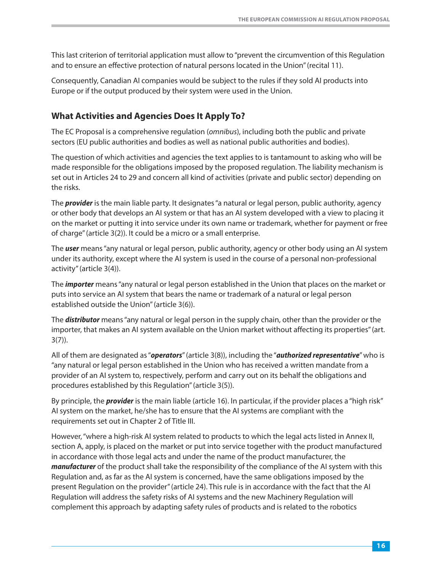<span id="page-17-0"></span>This last criterion of territorial application must allow to "prevent the circumvention of this Regulation and to ensure an effective protection of natural persons located in the Union" (recital 11).

Consequently, Canadian AI companies would be subject to the rules if they sold AI products into Europe or if the output produced by their system were used in the Union.

## **What Activities and Agencies Does It Apply To?**

The EC Proposal is a comprehensive regulation (omnibus), including both the public and private sectors (EU public authorities and bodies as well as national public authorities and bodies).

The question of which activities and agencies the text applies to is tantamount to asking who will be made responsible for the obligations imposed by the proposed regulation. The liability mechanism is set out in Articles 24 to 29 and concern all kind of activities (private and public sector) depending on the risks.

The *provider* is the main liable party. It designates "a natural or legal person, public authority, agency or other body that develops an AI system or that has an AI system developed with a view to placing it on the market or putting it into service under its own name or trademark, whether for payment or free of charge" (article 3(2)). It could be a micro or a small enterprise.

The *user* means "any natural or legal person, public authority, agency or other body using an AI system under its authority, except where the AI system is used in the course of a personal non-professional activity" (article 3(4)).

The *importer* means "any natural or legal person established in the Union that places on the market or puts into service an AI system that bears the name or trademark of a natural or legal person established outside the Union" (article 3(6)).

The *distributor* means "any natural or legal person in the supply chain, other than the provider or the importer, that makes an AI system available on the Union market without affecting its properties" (art. 3(7)).

All of them are designated as "*operators*" (article 3(8)), including the "*authorized representative*" who is "any natural or legal person established in the Union who has received a written mandate from a provider of an AI system to, respectively, perform and carry out on its behalf the obligations and procedures established by this Regulation" (article 3(5)).

By principle, the *provider* is the main liable (article 16). In particular, if the provider places a "high risk" AI system on the market, he/she has to ensure that the AI systems are compliant with the requirements set out in Chapter 2 of Title III.

However, "where a high-risk AI system related to products to which the legal acts listed in Annex II, section A, apply, is placed on the market or put into service together with the product manufactured in accordance with those legal acts and under the name of the product manufacturer, the *manufacturer* of the product shall take the responsibility of the compliance of the AI system with this Regulation and, as far as the AI system is concerned, have the same obligations imposed by the present Regulation on the provider" (article 24). This rule is in accordance with the fact that the AI Regulation will address the safety risks of AI systems and the new Machinery Regulation will complement this approach by adapting safety rules of products and is related to the robotics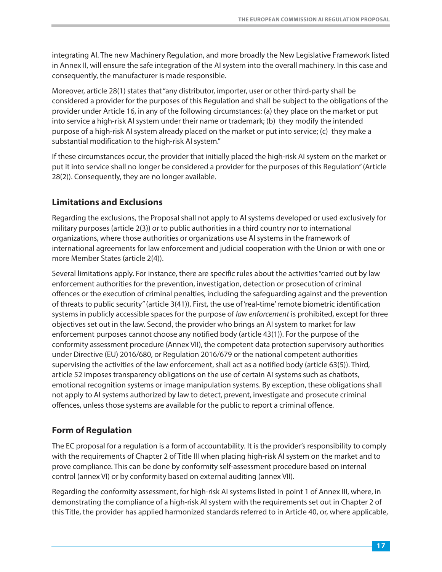<span id="page-18-0"></span>integrating AI. The new Machinery Regulation, and more broadly the New Legislative Framework listed in Annex II, will ensure the safe integration of the AI system into the overall machinery. In this case and consequently, the manufacturer is made responsible.

Moreover, article 28(1) states that "any distributor, importer, user or other third-party shall be considered a provider for the purposes of this Regulation and shall be subject to the obligations of the provider under Article 16, in any of the following circumstances: (a) they place on the market or put into service a high-risk AI system under their name or trademark; (b) they modify the intended purpose of a high-risk AI system already placed on the market or put into service; (c) they make a substantial modification to the high-risk AI system."

If these circumstances occur, the provider that initially placed the high-risk AI system on the market or put it into service shall no longer be considered a provider for the purposes of this Regulation" (Article 28(2)). Consequently, they are no longer available.

#### **Limitations and Exclusions**

Regarding the exclusions, the Proposal shall not apply to AI systems developed or used exclusively for military purposes (article 2(3)) or to public authorities in a third country nor to international organizations, where those authorities or organizations use AI systems in the framework of international agreements for law enforcement and judicial cooperation with the Union or with one or more Member States (article 2(4)).

Several limitations apply. For instance, there are specific rules about the activities "carried out by law enforcement authorities for the prevention, investigation, detection or prosecution of criminal offences or the execution of criminal penalties, including the safeguarding against and the prevention of threats to public security" (article 3(41)). First, the use of 'real-time' remote biometric identification systems in publicly accessible spaces for the purpose of law enforcement is prohibited, except for three objectives set out in the law. Second, the provider who brings an AI system to market for law enforcement purposes cannot choose any notified body (article 43(1)). For the purpose of the conformity assessment procedure (Annex VII), the competent data protection supervisory authorities under Directive (EU) 2016/680, or Regulation 2016/679 or the national competent authorities supervising the activities of the law enforcement, shall act as a notified body (article 63(5)). Third, article 52 imposes transparency obligations on the use of certain AI systems such as chatbots, emotional recognition systems or image manipulation systems. By exception, these obligations shall not apply to AI systems authorized by law to detect, prevent, investigate and prosecute criminal offences, unless those systems are available for the public to report a criminal offence.

#### **Form of Regulation**

The EC proposal for a regulation is a form of accountability. It is the provider's responsibility to comply with the requirements of Chapter 2 of Title III when placing high-risk AI system on the market and to prove compliance. This can be done by conformity self-assessment procedure based on internal control (annex VI) or by conformity based on external auditing (annex VII).

Regarding the conformity assessment, for high-risk AI systems listed in point 1 of Annex III, where, in demonstrating the compliance of a high-risk AI system with the requirements set out in Chapter 2 of this Title, the provider has applied harmonized standards referred to in Article 40, or, where applicable,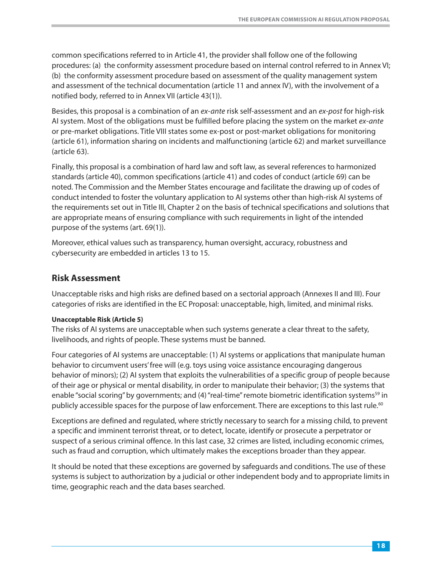<span id="page-19-0"></span>common specifications referred to in Article 41, the provider shall follow one of the following procedures: (a) the conformity assessment procedure based on internal control referred to in Annex VI; (b) the conformity assessment procedure based on assessment of the quality management system and assessment of the technical documentation (article 11 and annex IV), with the involvement of a notified body, referred to in Annex VII (article 43(1)).

Besides, this proposal is a combination of an ex-ante risk self-assessment and an ex-post for high-risk AI system. Most of the obligations must be fulfilled before placing the system on the market ex-ante or pre-market obligations. Title VIII states some ex-post or post-market obligations for monitoring (article 61), information sharing on incidents and malfunctioning (article 62) and market surveillance (article 63).

Finally, this proposal is a combination of hard law and soft law, as several references to harmonized standards (article 40), common specifications (article 41) and codes of conduct (article 69) can be noted. The Commission and the Member States encourage and facilitate the drawing up of codes of conduct intended to foster the voluntary application to AI systems other than high-risk AI systems of the requirements set out in Title III, Chapter 2 on the basis of technical specifications and solutions that are appropriate means of ensuring compliance with such requirements in light of the intended purpose of the systems (art. 69(1)).

Moreover, ethical values such as transparency, human oversight, accuracy, robustness and cybersecurity are embedded in articles 13 to 15.

#### **Risk Assessment**

Unacceptable risks and high risks are defined based on a sectorial approach (Annexes II and III). Four categories of risks are identified in the EC Proposal: unacceptable, high, limited, and minimal risks.

#### **Unacceptable Risk (Article 5)**

The risks of AI systems are unacceptable when such systems generate a clear threat to the safety, livelihoods, and rights of people. These systems must be banned.

Four categories of AI systems are unacceptable: (1) AI systems or applications that manipulate human behavior to circumvent users' free will (e.g. toys using voice assistance encouraging dangerous behavior of minors); (2) AI system that exploits the vulnerabilities of a specific group of people because of their age or physical or mental disability, in order to manipulate their behavior; (3) the systems that enable "social scoring" by governments; and (4) "real-time" remote biometric identification systems<sup>59</sup> in publicly accessible spaces for the purpose of law enforcement. There are exceptions to this last rule.<sup>60</sup>

Exceptions are defined and regulated, where strictly necessary to search for a missing child, to prevent a specific and imminent terrorist threat, or to detect, locate, identify or prosecute a perpetrator or suspect of a serious criminal offence. In this last case, 32 crimes are listed, including economic crimes, such as fraud and corruption, which ultimately makes the exceptions broader than they appear.

It should be noted that these exceptions are governed by safeguards and conditions. The use of these systems is subject to authorization by a judicial or other independent body and to appropriate limits in time, geographic reach and the data bases searched.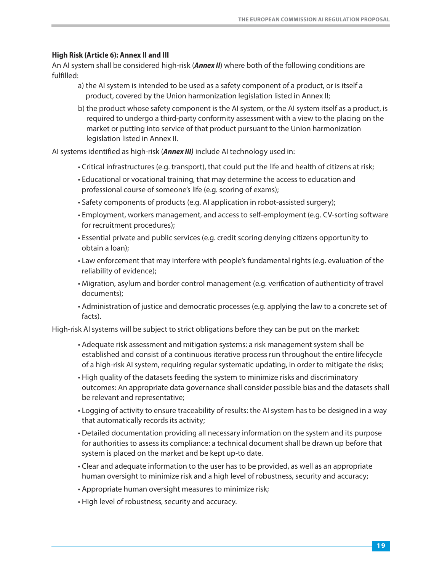#### **High Risk (Article 6): Annex II and III**

An AI system shall be considered high-risk (*Annex II*) where both of the following conditions are fulfilled:

- a) the AI system is intended to be used as a safety component of a product, or is itself a product, covered by the Union harmonization legislation listed in Annex II;
- b) the product whose safety component is the AI system, or the AI system itself as a product, is required to undergo a third-party conformity assessment with a view to the placing on the market or putting into service of that product pursuant to the Union harmonization legislation listed in Annex II.

AI systems identified as high-risk (*Annex III)* include AI technology used in:

- Critical infrastructures (e.g. transport), that could put the life and health of citizens at risk;
- Educational or vocational training, that may determine the access to education and professional course of someone's life (e.g. scoring of exams);
- Safety components of products (e.g. AI application in robot-assisted surgery);
- Employment, workers management, and access to self-employment (e.g. CV-sorting software for recruitment procedures);
- Essential private and public services (e.g. credit scoring denying citizens opportunity to obtain a loan);
- Law enforcement that may interfere with people's fundamental rights (e.g. evaluation of the reliability of evidence);
- Migration, asylum and border control management (e.g. verification of authenticity of travel documents);
- Administration of justice and democratic processes (e.g. applying the law to a concrete set of facts).

High-risk AI systems will be subject to strict obligations before they can be put on the market:

- Adequate risk assessment and mitigation systems: a risk management system shall be established and consist of a continuous iterative process run throughout the entire lifecycle of a high-risk AI system, requiring regular systematic updating, in order to mitigate the risks;
- High quality of the datasets feeding the system to minimize risks and discriminatory outcomes: An appropriate data governance shall consider possible bias and the datasets shall be relevant and representative;
- Logging of activity to ensure traceability of results: the AI system has to be designed in a way that automatically records its activity;
- Detailed documentation providing all necessary information on the system and its purpose for authorities to assess its compliance: a technical document shall be drawn up before that system is placed on the market and be kept up-to date.
- Clear and adequate information to the user has to be provided, as well as an appropriate human oversight to minimize risk and a high level of robustness, security and accuracy;
- Appropriate human oversight measures to minimize risk;
- High level of robustness, security and accuracy.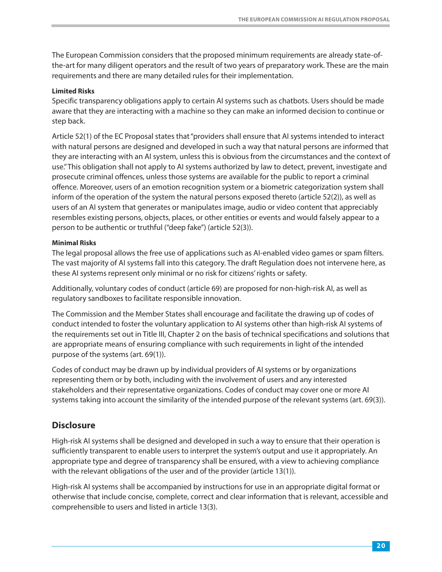<span id="page-21-0"></span>The European Commission considers that the proposed minimum requirements are already state-ofthe-art for many diligent operators and the result of two years of preparatory work. These are the main requirements and there are many detailed rules for their implementation.

#### **Limited Risks**

Specific transparency obligations apply to certain AI systems such as chatbots. Users should be made aware that they are interacting with a machine so they can make an informed decision to continue or step back.

Article 52(1) of the EC Proposal states that "providers shall ensure that AI systems intended to interact with natural persons are designed and developed in such a way that natural persons are informed that they are interacting with an AI system, unless this is obvious from the circumstances and the context of use." This obligation shall not apply to AI systems authorized by law to detect, prevent, investigate and prosecute criminal offences, unless those systems are available for the public to report a criminal offence. Moreover, users of an emotion recognition system or a biometric categorization system shall inform of the operation of the system the natural persons exposed thereto (article 52(2)), as well as users of an AI system that generates or manipulates image, audio or video content that appreciably resembles existing persons, objects, places, or other entities or events and would falsely appear to a person to be authentic or truthful ("deep fake") (article 52(3)).

#### **Minimal Risks**

The legal proposal allows the free use of applications such as AI-enabled video games or spam filters. The vast majority of AI systems fall into this category. The draft Regulation does not intervene here, as these AI systems represent only minimal or no risk for citizens' rights or safety.

Additionally, voluntary codes of conduct (article 69) are proposed for non-high-risk AI, as well as regulatory sandboxes to facilitate responsible innovation.

The Commission and the Member States shall encourage and facilitate the drawing up of codes of conduct intended to foster the voluntary application to AI systems other than high-risk AI systems of the requirements set out in Title III, Chapter 2 on the basis of technical specifications and solutions that are appropriate means of ensuring compliance with such requirements in light of the intended purpose of the systems (art. 69(1)).

Codes of conduct may be drawn up by individual providers of AI systems or by organizations representing them or by both, including with the involvement of users and any interested stakeholders and their representative organizations. Codes of conduct may cover one or more AI systems taking into account the similarity of the intended purpose of the relevant systems (art. 69(3)).

#### **Disclosure**

High-risk AI systems shall be designed and developed in such a way to ensure that their operation is sufficiently transparent to enable users to interpret the system's output and use it appropriately. An appropriate type and degree of transparency shall be ensured, with a view to achieving compliance with the relevant obligations of the user and of the provider (article 13(1)).

High-risk AI systems shall be accompanied by instructions for use in an appropriate digital format or otherwise that include concise, complete, correct and clear information that is relevant, accessible and comprehensible to users and listed in article 13(3).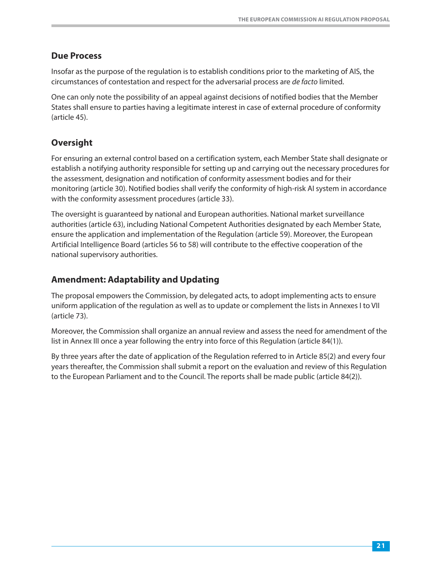#### <span id="page-22-0"></span>**Due Process**

Insofar as the purpose of the regulation is to establish conditions prior to the marketing of AIS, the circumstances of contestation and respect for the adversarial process are de facto limited.

One can only note the possibility of an appeal against decisions of notified bodies that the Member States shall ensure to parties having a legitimate interest in case of external procedure of conformity (article 45).

## **Oversight**

For ensuring an external control based on a certification system, each Member State shall designate or establish a notifying authority responsible for setting up and carrying out the necessary procedures for the assessment, designation and notification of conformity assessment bodies and for their monitoring (article 30). Notified bodies shall verify the conformity of high-risk AI system in accordance with the conformity assessment procedures (article 33).

The oversight is guaranteed by national and European authorities. National market surveillance authorities (article 63), including National Competent Authorities designated by each Member State, ensure the application and implementation of the Regulation (article 59). Moreover, the European Artificial Intelligence Board (articles 56 to 58) will contribute to the effective cooperation of the national supervisory authorities.

#### **Amendment: Adaptability and Updating**

The proposal empowers the Commission, by delegated acts, to adopt implementing acts to ensure uniform application of the regulation as well as to update or complement the lists in Annexes I to VII (article 73).

Moreover, the Commission shall organize an annual review and assess the need for amendment of the list in Annex III once a year following the entry into force of this Regulation (article 84(1)).

By three years after the date of application of the Regulation referred to in Article 85(2) and every four years thereafter, the Commission shall submit a report on the evaluation and review of this Regulation to the European Parliament and to the Council. The reports shall be made public (article 84(2)).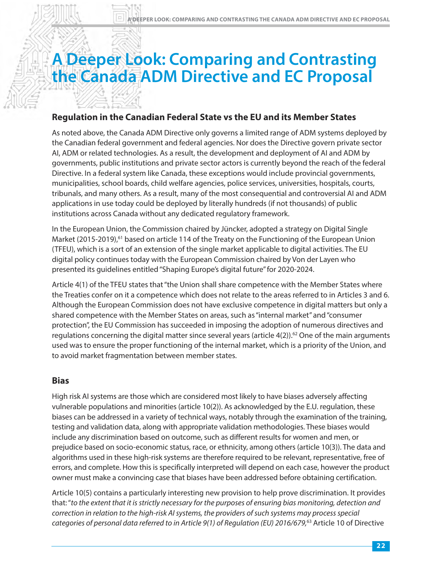# <span id="page-23-0"></span>**A Deeper Look: Comparing and Contrasting the Canada ADM Directive and EC Proposal**

#### **Regulation in the Canadian Federal State vs the EU and its Member States**

As noted above, the Canada ADM Directive only governs a limited range of ADM systems deployed by the Canadian federal government and federal agencies. Nor does the Directive govern private sector AI, ADM or related technologies. As a result, the development and deployment of AI and ADM by governments, public institutions and private sector actors is currently beyond the reach of the federal Directive. In a federal system like Canada, these exceptions would include provincial governments, municipalities, school boards, child welfare agencies, police services, universities, hospitals, courts, tribunals, and many others. As a result, many of the most consequential and controversial AI and ADM applications in use today could be deployed by literally hundreds (if not thousands) of public institutions across Canada without any dedicated regulatory framework.

In the European Un[ion](#page-41-0), the Commission chaired by Jüncker, adopted a strategy on Digital Single Market (2015-2019),<sup>61</sup> based on article 114 of the Treaty on the Functioning of the European Union (TFEU), which is a sort of an extension of the single market applicable to digital activities. The EU digital policy continues today with the European Commission chaired by Von der Layen who presented its guidelines entitled "Shaping Europe's digital future" for 2020-2024.

Article 4(1) of the TFEU states that "the Union shall share competence with the Member States where the Treaties confer on it a competence which does not relate to the areas referred to in Articles 3 and 6. Although the European Commission does not have exclusive competence in digital matters but only a shared competence with the Member States on areas, such as "internal market" and "consumer protection", the EU Commission has succeeded in imposing the adoptio[n of](#page-41-0) numerous directives and regulations concerning the digital matter since several years (article  $4(2)$ ).<sup>62</sup> One of the main arguments used was to ensure the proper functioning of the internal market, which is a priority of the Union, and to avoid market fragmentation between member states.

#### **Bias**

High risk AI systems are those which are considered most likely to have biases adversely affecting vulnerable populations and minorities (article 10(2)). As acknowledged by the E.U. regulation, these biases can be addressed in a variety of technical ways, notably through the examination of the training, testing and validation data, along with appropriate validation methodologies. These biases would include any discrimination based on outcome, such as different results for women and men, or prejudice based on socio-economic status, race, or ethnicity, among others (article 10(3)). The data and algorithms used in these high-risk systems are therefore required to be relevant, representative, free of errors, and complete. How this is specifically interpreted will depend on each case, however the product owner must make a convincing case that biases have been addressed before obtaining certification.

Article 10(5) contains a particularly interesting new provision to help prove discrimination. It provides that: "to the extent that it is strictly necessary for the purposes of ensuring bias monitoring, detection and correction in relation to the high-risk AI systems, the providers of such [systems may p](#page-41-0)rocess special categories of personal data referred to in Article 9(1) of Regulation (EU) 2016/679,<sup>63</sup> Article 10 of Directive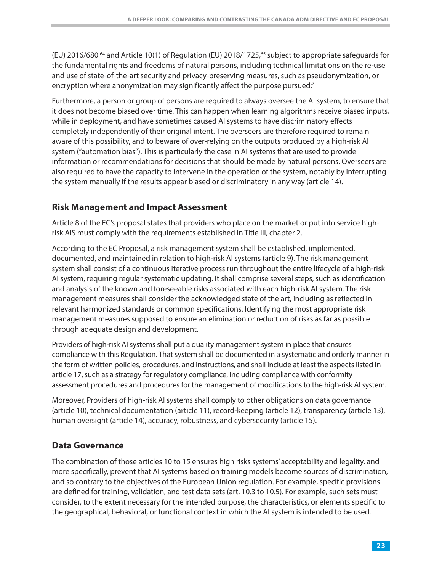<span id="page-24-0"></span>(EU) [2](#page-41-0)016/680<sup>64</sup> and Article 10(1) of Regulation (EU) 2018/1725,<sup>65</sup> subject to appropriate safeguards for the fundamental rights and freedoms of natural persons, including technical limitations on the re-use and use of state-of-the-art security and privacy-preserving measures, such as pseudonymization, or encryption where anonymization may significantly affect the purpose pursued."

Furthermore, a person or group of persons are required to always oversee the AI system, to ensure that it does not become biased over time. This can happen when learning algorithms receive biased inputs, while in deployment, and have sometimes caused AI systems to have discriminatory effects completely independently of their original intent. The overseers are therefore required to remain aware of this possibility, and to beware of over-relying on the outputs produced by a high-risk AI system ("automation bias"). This is particularly the case in AI systems that are used to provide information or recommendations for decisions that should be made by natural persons. Overseers are also required to have the capacity to intervene in the operation of the system, notably by interrupting the system manually if the results appear biased or discriminatory in any way (article 14).

#### **Risk Management and Impact Assessment**

Article 8 of the EC's proposal states that providers who place on the market or put into service highrisk AIS must comply with the requirements established in Title III, chapter 2.

According to the EC Proposal, a risk management system shall be established, implemented, documented, and maintained in relation to high-risk AI systems (article 9). The risk management system shall consist of a continuous iterative process run throughout the entire lifecycle of a high-risk AI system, requiring regular systematic updating. It shall comprise several steps, such as identification and analysis of the known and foreseeable risks associated with each high-risk AI system. The risk management measures shall consider the acknowledged state of the art, including as reflected in relevant harmonized standards or common specifications. Identifying the most appropriate risk management measures supposed to ensure an elimination or reduction of risks as far as possible through adequate design and development.

Providers of high-risk AI systems shall put a quality management system in place that ensures compliance with this Regulation. That system shall be documented in a systematic and orderly manner in the form of written policies, procedures, and instructions, and shall include at least the aspects listed in article 17, such as a strategy for regulatory compliance, including compliance with conformity assessment procedures and procedures for the management of modifications to the high-risk AI system.

Moreover, Providers of high-risk AI systems shall comply to other obligations on data governance (article 10), technical documentation (article 11), record-keeping (article 12), transparency (article 13), human oversight (article 14), accuracy, robustness, and cybersecurity (article 15).

#### **Data Governance**

The combination of those articles 10 to 15 ensures high risks systems' acceptability and legality, and more specifically, prevent that AI systems based on training models become sources of discrimination, and so contrary to the objectives of the European Union regulation. For example, specific provisions are defined for training, validation, and test data sets (art. 10.3 to 10.5). For example, such sets must consider, to the extent necessary for the intended purpose, the characteristics, or elements specific to the geographical, behavioral, or functional context in which the AI system is intended to be used.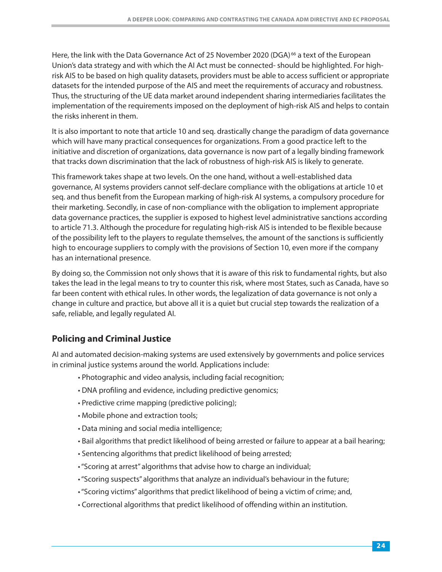<span id="page-25-0"></span>Here, the link with the Data Governance Act of 25 Novembe[r 2](#page-41-0)020 (DGA)<sup>[66](#page-41-0)</sup> a text of the European Union's data strategy and with which the AI Act must be connected- should be highlighted. For highrisk AIS to be based on high quality datasets, providers must be able to access sufficient or appropriate datasets for the intended purpose of the AIS and meet the requirements of accuracy and robustness. Thus, the structuring of the UE data market around independent sharing intermediaries facilitates the implementation of the requirements imposed on the deployment of high-risk AIS and helps to contain the risks inherent in them.

It is also important to note that article 10 and seq. drastically change the paradigm of data governance which will have many practical consequences for organizations. From a good practice left to the initiative and discretion of organizations, data governance is now part of a legally binding framework that tracks down discrimination that the lack of robustness of high-risk AIS is likely to generate.

This framework takes shape at two levels. On the one hand, without a well-established data governance, AI systems providers cannot self-declare compliance with the obligations at article 10 et seq. and thus benefit from the European marking of high-risk AI systems, a compulsory procedure for their marketing. Secondly, in case of non-compliance with the obligation to implement appropriate data governance practices, the supplier is exposed to highest level administrative sanctions according to article 71.3. Although the procedure for regulating high-risk AIS is intended to be flexible because of the possibility left to the players to regulate themselves, the amount of the sanctions is sufficiently high to encourage suppliers to comply with the provisions of Section 10, even more if the company has an international presence.

By doing so, the Commission not only shows that it is aware of this risk to fundamental rights, but also takes the lead in the legal means to try to counter this risk, where most States, such as Canada, have so far been content with ethical rules. In other words, the legalization of data governance is not only a change in culture and practice, but above all it is a quiet but crucial step towards the realization of a safe, reliable, and legally regulated AI.

# **Policing and Criminal Justice**

AI and automated decision-making systems are used extensively by governments and police services in criminal justice systems around the world. Applications include:

- Photographic and video analysis, including facial recognition;
- DNA profiling and evidence, including predictive genomics;
- Predictive crime mapping (predictive policing);
- Mobile phone and extraction tools;
- Data mining and social media intelligence;
- Bail algorithms that predict likelihood of being arrested or failure to appear at a bail hearing;
- Sentencing algorithms that predict likelihood of being arrested;
- "Scoring at arrest" algorithms that advise how to charge an individual;
- "Scoring suspects" algorithms that analyze an individual's behaviour in the future;
- "Scoring victims" algorithms that predict likelihood of being a victim of crime; and,
- Correctional algorithms that predict likelihood of offending within an institution.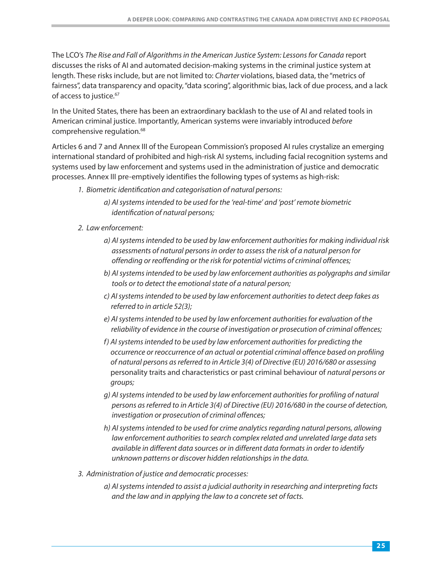The LCO's [The Rise and Fall of Algorithms in the American Justice System: Lessons for Canada](https://www.lco-cdo.org/wp-content/uploads/2020/10/Criminal-AI-Paper-Final-Oct-28-2020.pdf) report discusses the risks of AI and automated decision-making systems in the criminal justice system at length. These risks include, but are not limited to: Charter violations, biased data, the "metrics of fairness", data trans[pa](#page-41-0)rency and opacity, "data scoring", algorithmic bias, lack of due process, and a lack of access to [ju](#page-41-0)stice.<sup>67</sup>

In the United States, there has been an extraordinary backlash to the use of AI and related tools in American criminal justice. I[mp](#page-41-0)ortantly, American systems were invariably introduced before comprehensive [r](#page-41-0)egulation.68

Articles 6 and 7 and Annex III of the European Commission's proposed AI rules crystalize an emerging international standard of prohibited and high-risk AI systems, including facial recognition systems and systems used by law enforcement and systems used in the administration of justice and democratic processes. Annex III pre-emptively identifies the following types of systems as high-risk:

- 1. Biometric identification and categorisation of natural persons:
	- a) AI systems intended to be used for the 'real-time' and 'post' remote biometric identification of natural persons;
- 2. Law enforcement:
	- a) AI systems intended to be used by law enforcement authorities for making individual risk assessments of natural persons in order to assess the risk of a natural person for offending or reoffending or the risk for potential victims of criminal offences;
	- b) AI systems intended to be used by law enforcement authorities as polygraphs and similar tools or to detect the emotional state of a natural person;
	- c) AI systems intended to be used by law enforcement authorities to detect deep fakes as referred to in article 52(3);
	- e) AI systems intended to be used by law enforcement authorities for evaluation of the reliability of evidence in the course of investigation or prosecution of criminal offences;
	- f) AI systems intended to be used by law enforcement authorities for predicting the occurrence or reoccurrence of an actual or potential criminal offence based on profiling of natural persons as referred to in Article 3(4) of Directive (EU) 2016/680 or assessing personality traits and characteristics or past criminal behaviour of natural persons or groups;
	- g) AI systems intended to be used by law enforcement authorities for profiling of natural persons as referred to in Article 3(4) of Directive (EU) 2016/680 in the course of detection, investigation or prosecution of criminal offences;
	- h) AI systems intended to be used for crime analytics regarding natural persons, allowing law enforcement authorities to search complex related and unrelated large data sets available in different data sources or in different data formats in order to identify unknown patterns or discover hidden relationships in the data.
- 3. Administration of justice and democratic processes:
	- a) AI systems intended to assist a judicial authority in researching and interpreting facts and the law and in applying the law to a concrete set of facts.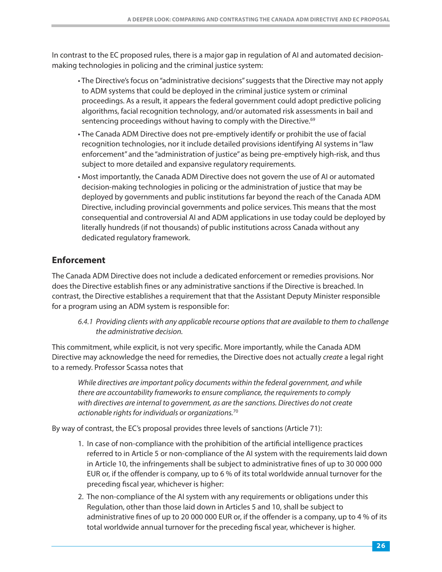<span id="page-27-0"></span>In contrast to the EC proposed rules, there is a major gap in regulation of AI and automated decisionmaking technologies in policing and the criminal justice system:

- The Directive's focus on "administrative decisions" suggests that the Directive may not apply to ADM systems that could be deployed in the criminal justice system or criminal proceedings. As a result, it appears the federal government could adopt predictive policing algorithms, facial recognition technology, and/or automated risk asses[sm](#page-41-0)ents in bail and sentencing proceedings without having to comply with the [D](#page-41-0)irective.<sup>69</sup>
- The Canada ADM Directive does not pre-emptively identify or prohibit the use of facial recognition technologies, nor it include detailed provisions identifying AI systems in "law enforcement" and the "administration of justice" as being pre-emptively high-risk, and thus subject to more detailed and expansive regulatory requirements.
- Most importantly, the Canada ADM Directive does not govern the use of AI or automated decision-making technologies in policing or the administration of justice that may be deployed by governments and public institutions far beyond the reach of the Canada ADM Directive, including provincial governments and police services. This means that the most consequential and controversial AI and ADM applications in use today could be deployed by literally hundreds (if not thousands) of public institutions across Canada without any dedicated regulatory framework.

#### **Enforcement**

The Canada ADM Directive does not include a dedicated enforcement or remedies provisions. Nor does the Directive establish fines or any administrative sanctions if the Directive is breached. In contrast, the Directive establishes a requirement that that the Assistant Deputy Minister responsible for a program using an ADM system is responsible for:

6.4.1 Providing clients with any applicable recourse options that are available to them to challenge the administrative decision.

This commitment, while explicit, is not very specific. More importantly, while the Canada ADM Directive may acknowledge the need for remedies, the Directive does not actually create a legal right to a remedy. Professor Scassa notes that

While directives are important policy documents within the federal government, and while there are accountability frameworks to ensure compliance, the requirements to comply with directives are internal to government, as are t[h](#page-41-0)e sanctions. Directives do not create actionable rights f[or](#page-41-0) individuals or organizations.<sup>70</sup>

By way of contrast, the EC's proposal provides three levels of sanctions (Article 71):

- 1. In case of non-compliance with the prohibition of the artificial intelligence practices referred to in Article 5 or non-compliance of the AI system with the requirements laid down in Article 10, the infringements shall be subject to administrative fines of up to 30 000 000 EUR or, if the offender is company, up to 6 % of its total worldwide annual turnover for the preceding fiscal year, whichever is higher:
- 2. The non-compliance of the AI system with any requirements or obligations under this Regulation, other than those laid down in Articles 5 and 10, shall be subject to administrative fines of up to 20 000 000 EUR or, if the offender is a company, up to 4 % of its total worldwide annual turnover for the preceding fiscal year, whichever is higher.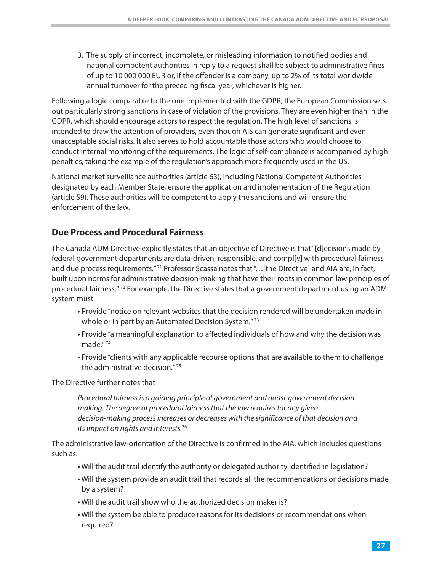<span id="page-28-0"></span>3. The supply of incorrect, incomplete, or misleading information to notified bodies and national competent authorities in reply to a request shall be subject to administrative fines of up to 10 000 000 EUR or, if the offender is a company, up to 2% of its total worldwide annual turnover for the preceding fiscal year, whichever is higher.

Following a logic comparable to the one implemented with the GDPR, the European Commission sets out particularly strong sanctions in case of violation of the provisions. They are even higher than in the GDPR, which should encourage actors to respect the regulation. The high level of sanctions is intended to draw the attention of providers, even though AIS can generate significant and even unacceptable social risks. It also serves to hold accountable those actors who would choose to conduct internal monitoring of the requirements. The logic of self-compliance is accompanied by high penalties, taking the example of the regulation's approach more frequently used in the US.

National market surveillance authorities (article 63), including National Competent Authorities designated by each Member State, ensure the application and implementation of the Regulation (article 59). These authorities will be competent to apply the sanctions and will ensure the enforcement of the law.

#### **Due Process and Procedural Fairness**

The Canada ADM Directive explicitly states that an objective of Directive is that "[d]ecisions made by federal government department[s a](#page-41-0)re data-driven, responsible, and compl[y] with procedural fairness and due process [r](#page-41-0)equirements."<sup>71</sup> Professor Scassa notes that"...[the Directive] and AIA are, in fact, built upon [norms for admin](#page-41-0)istrative decision-making that have their roots in common law principles of procedural fairness." 72 For example, the Directive states that a government department using an ADM system must

- Provide "notice on relevant websites that t[he](#page-41-0) decisio[n r](#page-41-0)endered will be undertaken made in whole or in part by an Automated Decision System."<sup>73</sup>
- • [P](#page-41-0)rovide ["a](#page-41-0) meaningful explanation to affected individuals of how and why the decision was made." <sup>74</sup>
- Provide "clients with any appl[ic](#page-41-0)able recourse options that are available to them to challenge the administrativ[e d](#page-41-0)ecision." <sup>75</sup>

The Directive further notes that

Procedural fairness is a guiding principle of government and quasi-government decisionmaking. The degree of procedural fairness that the law requires for any given decision-making process increase[s o](#page-41-0)r decreases with the significance of that decision and its impact on rights an[d i](#page-41-0)nterests.<sup>76</sup>

The administrative law-orientation of the Directive is confirmed in the AIA, which includes questions such as:

- Will the audit trail identify the authority or delegated authority identified in legislation?
- Will the system provide an audit trail that records all the recommendations or decisions made by a system?
- Will the audit trail show who the authorized decision maker is?
- Will the system be able to produce reasons for its decisions or recommendations when required?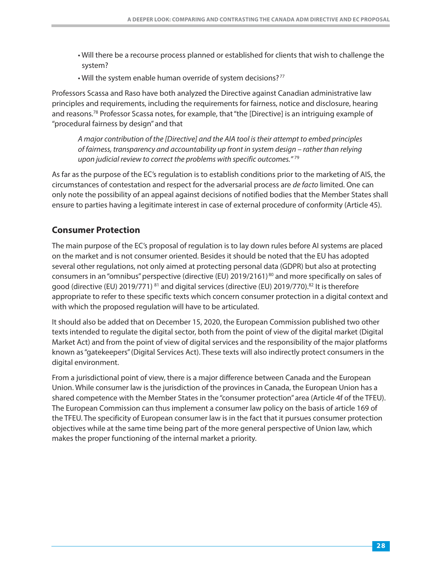- <span id="page-29-0"></span>• Will there be a recourse process planned or established for clients that wish to challenge the system?
- Will the system enable human override of syste[m d](#page-41-0)ecisions?<sup>[7](#page-41-0)7</sup>

Professors Scassa and Raso have both analyzed the Directive against Canadian administrative law principles an[d](#page-41-0) requirements, including the requirements for fairness, notice and disclosure, hearing and [r](#page-41-0)easons.78 Professor Scassa notes, for example, that "the [Directive] is an intriguing example of "procedural fairness by design" and that

A major contribution of the [Directive] and the AIA tool is their attempt to embed principles of fairness, transparency and accountability up front in system design [–](#page-41-0) rather than relying upon judicial review to correct the problems with specific [o](#page-41-0)utcomes."<sup>79</sup>

As far as the purpose of the EC's regulation is to establish conditions prior to the marketing of AIS, the circumstances of contestation and respect for the adversarial process are de facto limited. One can only note the possibility of an appeal against decisions of notified bodies that the Member States shall ensure to parties having a legitimate interest in case of external procedure of conformity (Article 45).

#### **Consumer Protection**

The main purpose of the EC's proposal of regulation is to lay down rules before AI systems are placed on the market and is not consumer oriented. Besides it should be noted that the EU has adopted several other regulations, not only aimed at protecting personal da[ta](#page-41-0) (GDPR) but also at protecting consumers in an "omnibus" [p](#page-42-0)erspective (directive (EU[\)](#page-41-0) 2019/2161)<sup>80</sup> and more [sp](#page-42-0)ecifically on sales of good (directiv[e \(](#page-42-0)EU) 2019/771) <sup>81</sup> and digital services (directive [\(E](#page-42-0)U) 2019/770).<sup>82</sup> It is therefore appropriate to refer to these specific texts which concern consumer protection in a digital context and with which the proposed regulation will have to be articulated.

It should also be added that on December 15, 2020, the European Commission published two other texts intended to regulate the digital sector, both from the point of view of the digital market (Digital Market Act) and from the point of view of digital services and the responsibility of the major platforms known as "gatekeepers" (Digital Services Act). These texts will also indirectly protect consumers in the digital environment.

From a jurisdictional point of view, there is a major difference between Canada and the European Union. While consumer law is the jurisdiction of the provinces in Canada, the European Union has a shared competence with the Member States in the "consumer protection" area (Article 4f of the TFEU). The European Commission can thus implement a consumer law policy on the basis of article 169 of the TFEU. The specificity of European consumer law is in the fact that it pursues consumer protection objectives while at the same time being part of the more general perspective of Union law, which makes the proper functioning of the internal market a priority.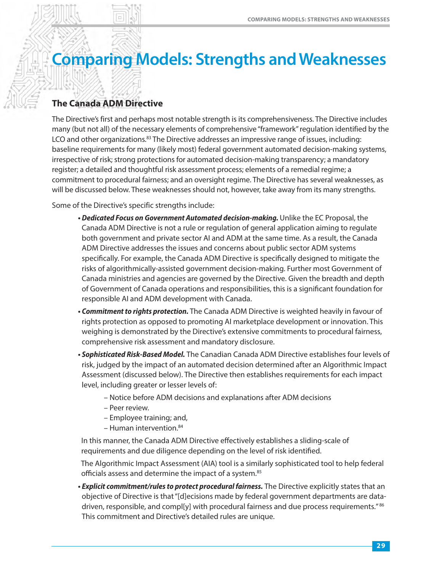# <span id="page-30-0"></span>**Comparing Models: Strengths and Weaknesses**

# **The Canada ADM Directive**

The Directive's first and perhaps most notable strength is its comprehensiveness. The Directive includes many (but not all) of the nece[ss](#page-42-0)ary elements of comprehensive "framework" regulation identified by the LCO and [o](#page-42-0)ther organizations.<sup>83</sup> The Directive addresses an impressive range of issues, including: baseline requirements for many (likely most) federal government automated decision-making systems, irrespective of risk; strong protections for automated decision-making transparency; a mandatory register; a detailed and thoughtful risk assessment process; elements of a remedial regime; a commitment to procedural fairness; and an oversight regime. The Directive has several weaknesses, as will be discussed below. These weaknesses should not, however, take away from its many strengths.

Some of the Directive's specific strengths include:

- Dedicated Focus on Government Automated decision-making. Unlike the EC Proposal, the Canada ADM Directive is not a rule or regulation of general application aiming to regulate both government and private sector AI and ADM at the same time. As a result, the Canada ADM Directive addresses the issues and concerns about public sector ADM systems specifically. For example, the Canada ADM Directive is specifically designed to mitigate the risks of algorithmically-assisted government decision-making. Further most Government of Canada ministries and agencies are governed by the Directive. Given the breadth and depth of Government of Canada operations and responsibilities, this is a significant foundation for responsible AI and ADM development with Canada.
- *Commitment to rights protection.* The Canada ADM Directive is weighted heavily in favour of rights protection as opposed to promoting AI marketplace development or innovation. This weighing is demonstrated by the Directive's extensive commitments to procedural fairness, comprehensive risk assessment and mandatory disclosure.
- *Sophisticated Risk-Based Model.* The Canadian Canada ADM Directive establishes four levels of risk, judged by the impact of an automated decision determined after an Algorithmic Impact Assessment (discussed below). The Directive then establishes requirements for each impact level, including greater or lesser levels of:
	- Notice before ADM decisions and explanations after ADM decisions
	- Peer review.
	- [E](#page-42-0)mployee training; a[nd](#page-42-0),
	- Human intervention.<sup>84</sup>

 In this manner, the Canada ADM Directive effectively establishes a sliding-scale of requirements and due diligence depending on the level of risk identified.

 The Algorithmic Impact Assessment (AIA) tool is a simi[la](#page-42-0)rly sophisticated tool to help federal officials assess and determine the impact of [a s](#page-42-0)ystem.85

*• Explicit commitment/rules to protect procedural fairness.* The Directive explicitly states that an objective of Directive is that "[d]ecisions made by federal government departments are dat[a](#page-42-0)driven, [re](#page-42-0)sponsible, and compl[y] with procedural fairness and due process requirements."<sup>86</sup> This commitment and Directive's detailed rules are unique.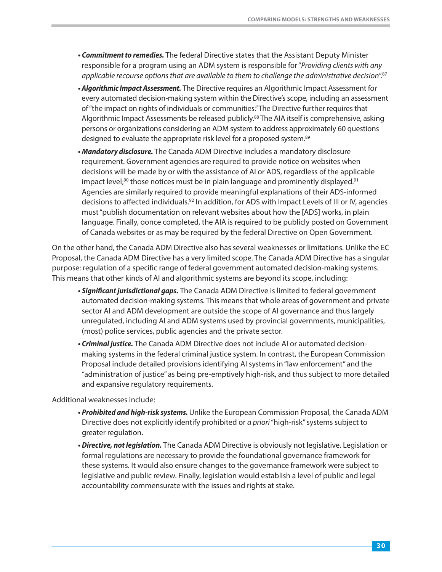- *Commitment to remedies.* The federal Directive states that the Assistant Deputy Minister responsible for a program using an ADM system is responsible for "*Providing clients with any* applicable recourse options that are available to them to challenge the administrativ[e d](#page-42-0)ecision".<sup>8[7](#page-42-0)</sup>
- *Algorithmic Impact Assessment.* The Directive requires an Algorithmic Impact Assessment for every automated decision-making system within the Directive's scope, including an assessment of "the impact on rights of individuals or co[mmunities." T](#page-42-0)he Directive further requires that Algorithmic Impact Assessments be released publicly.<sup>88</sup> The AIA itself is comprehensive, asking persons or organizations considering an ADM system to address appr[oxi](#page-42-0)mately 60 questions designed to evaluate the appropriate risk level for a propose[d s](#page-42-0)ystem.<sup>89</sup>
- *Mandatory disclosure.* The Canada ADM Directive includes a mandatory disclosure requirement. Government agencies are required to provide notice on websites when decisions will be made by or with the assistance of AI or ADS, regardless of the appli[ca](#page-42-0)ble impact level;<sup>90</sup> those notices must be in plain language and prominently [d](#page-42-0)isplayed.<sup>91</sup> Agencies are similarly required to [p](#page-42-0)rovide meaningful explanations of their ADS-informed decisions to affected [i](#page-42-0)ndividuals.<sup>92</sup> In addition, for ADS with Impact Levels of III or IV, agencies must "publish documentation on relevant websites about how the [ADS] works, in plain language. Finally, oonce completed, the AIA is required to be publicly posted on Government of Canada websites or as may be required by the federal Directive on Open Government.

On the other hand, the Canada ADM Directive also has several weaknesses or limitations. Unlike the EC Proposal, the Canada ADM Directive has a very limited scope. The Canada ADM Directive has a singular purpose: regulation of a specific range of federal government automated decision-making systems. This means that other kinds of AI and algorithmic systems are beyond its scope, including:

- *Significant jurisdictional gaps.* The Canada ADM Directive is limited to federal government automated decision-making systems. This means that whole areas of government and private sector AI and ADM development are outside the scope of AI governance and thus largely unregulated, including AI and ADM systems used by provincial governments, municipalities, (most) police services, public agencies and the private sector.
- *Criminal justice.* The Canada ADM Directive does not include AI or automated decisionmaking systems in the federal criminal justice system. In contrast, the European Commission Proposal include detailed provisions identifying AI systems in "law enforcement" and the "administration of justice" as being pre-emptively high-risk, and thus subject to more detailed and expansive regulatory requirements.

Additional weaknesses include:

- *Prohibited and high-risk systems.* Unlike the European Commission Proposal, the Canada ADM Directive does not explicitly identify prohibited or a priori "high-risk" systems subject to greater regulation.
- *Directive, not legislation.* The Canada ADM Directive is obviously not legislative. Legislation or formal regulations are necessary to provide the foundational governance framework for these systems. It would also ensure changes to the governance framework were subject to legislative and public review. Finally, legislation would establish a level of public and legal accountability commensurate with the issues and rights at stake.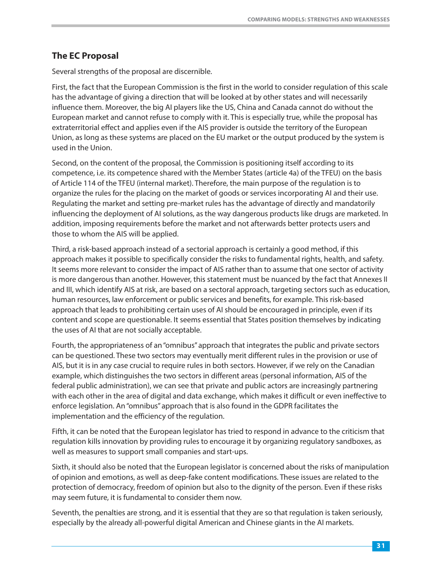# <span id="page-32-0"></span>**The EC Proposal**

Several strengths of the proposal are discernible.

First, the fact that the European Commission is the first in the world to consider regulation of this scale has the advantage of giving a direction that will be looked at by other states and will necessarily influence them. Moreover, the big AI players like the US, China and Canada cannot do without the European market and cannot refuse to comply with it. This is especially true, while the proposal has extraterritorial effect and applies even if the AIS provider is outside the territory of the European Union, as long as these systems are placed on the EU market or the output produced by the system is used in the Union.

Second, on the content of the proposal, the Commission is positioning itself according to its competence, i.e. its competence shared with the Member States (article 4a) of the TFEU) on the basis of Article 114 of the TFEU (internal market). Therefore, the main purpose of the regulation is to organize the rules for the placing on the market of goods or services incorporating AI and their use. Regulating the market and setting pre-market rules has the advantage of directly and mandatorily influencing the deployment of AI solutions, as the way dangerous products like drugs are marketed. In addition, imposing requirements before the market and not afterwards better protects users and those to whom the AIS will be applied.

Third, a risk-based approach instead of a sectorial approach is certainly a good method, if this approach makes it possible to specifically consider the risks to fundamental rights, health, and safety. It seems more relevant to consider the impact of AIS rather than to assume that one sector of activity is more dangerous than another. However, this statement must be nuanced by the fact that Annexes II and III, which identify AIS at risk, are based on a sectoral approach, targeting sectors such as education, human resources, law enforcement or public services and benefits, for example. This risk-based approach that leads to prohibiting certain uses of AI should be encouraged in principle, even if its content and scope are questionable. It seems essential that States position themselves by indicating the uses of AI that are not socially acceptable.

Fourth, the appropriateness of an "omnibus" approach that integrates the public and private sectors can be questioned. These two sectors may eventually merit different rules in the provision or use of AIS, but it is in any case crucial to require rules in both sectors. However, if we rely on the Canadian example, which distinguishes the two sectors in different areas (personal information, AIS of the federal public administration), we can see that private and public actors are increasingly partnering with each other in the area of digital and data exchange, which makes it difficult or even ineffective to enforce legislation. An "omnibus" approach that is also found in the GDPR facilitates the implementation and the efficiency of the regulation.

Fifth, it can be noted that the European legislator has tried to respond in advance to the criticism that regulation kills innovation by providing rules to encourage it by organizing regulatory sandboxes, as well as measures to support small companies and start-ups.

Sixth, it should also be noted that the European legislator is concerned about the risks of manipulation of opinion and emotions, as well as deep-fake content modifications. These issues are related to the protection of democracy, freedom of opinion but also to the dignity of the person. Even if these risks may seem future, it is fundamental to consider them now.

Seventh, the penalties are strong, and it is essential that they are so that regulation is taken seriously, especially by the already all-powerful digital American and Chinese giants in the AI markets.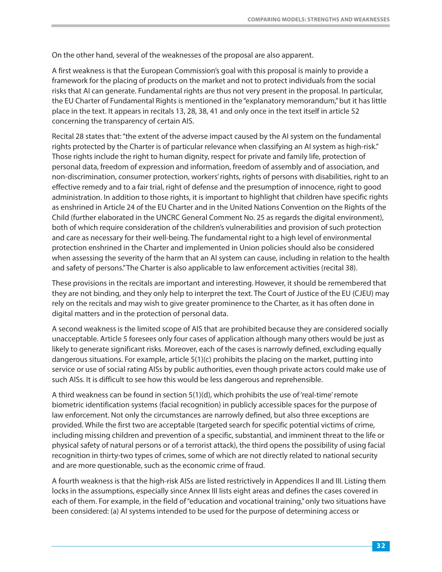On the other hand, several of the weaknesses of the proposal are also apparent.

A first weakness is that the European Commission's goal with this proposal is mainly to provide a framework for the placing of products on the market and not to protect individuals from the social risks that AI can generate. Fundamental rights are thus not very present in the proposal. In particular, the EU Charter of Fundamental Rights is mentioned in the "explanatory memorandum," but it has little place in the text. It appears in recitals 13, 28, 38, 41 and only once in the text itself in article 52 concerning the transparency of certain AIS.

Recital 28 states that: "the extent of the adverse impact caused by the AI system on the fundamental rights protected by the Charter is of particular relevance when classifying an AI system as high-risk." Those rights include the right to human dignity, respect for private and family life, protection of personal data, freedom of expression and information, freedom of assembly and of association, and non-discrimination, consumer protection, workers' rights, rights of persons with disabilities, right to an effective remedy and to a fair trial, right of defense and the presumption of innocence, right to good administration. In addition to those rights, it is important to highlight that children have specific rights as enshrined in Article 24 of the EU Charter and in the United Nations Convention on the Rights of the Child (further elaborated in the UNCRC General Comment No. 25 as regards the digital environment), both of which require consideration of the children's vulnerabilities and provision of such protection and care as necessary for their well-being. The fundamental right to a high level of environmental protection enshrined in the Charter and implemented in Union policies should also be considered when assessing the severity of the harm that an AI system can cause, including in relation to the health and safety of persons." The Charter is also applicable to law enforcement activities (recital 38).

These provisions in the recitals are important and interesting. However, it should be remembered that they are not binding, and they only help to interpret the text. The Court of Justice of the EU (CJEU) may rely on the recitals and may wish to give greater prominence to the Charter, as it has often done in digital matters and in the protection of personal data.

A second weakness is the limited scope of AIS that are prohibited because they are considered socially unacceptable. Article 5 foresees only four cases of application although many others would be just as likely to generate significant risks. Moreover, each of the cases is narrowly defined, excluding equally dangerous situations. For example, article  $5(1)(c)$  prohibits the placing on the market, putting into service or use of social rating AISs by public authorities, even though private actors could make use of such AISs. It is difficult to see how this would be less dangerous and reprehensible.

A third weakness can be found in section 5(1)(d), which prohibits the use of 'real-time' remote biometric identification systems (facial recognition) in publicly accessible spaces for the purpose of law enforcement. Not only the circumstances are narrowly defined, but also three exceptions are provided. While the first two are acceptable (targeted search for specific potential victims of crime, including missing children and prevention of a specific, substantial, and imminent threat to the life or physical safety of natural persons or of a terrorist attack), the third opens the possibility of using facial recognition in thirty-two types of crimes, some of which are not directly related to national security and are more questionable, such as the economic crime of fraud.

A fourth weakness is that the high-risk AISs are listed restrictively in Appendices II and III. Listing them locks in the assumptions, especially since Annex III lists eight areas and defines the cases covered in each of them. For example, in the field of "education and vocational training," only two situations have been considered: (a) AI systems intended to be used for the purpose of determining access or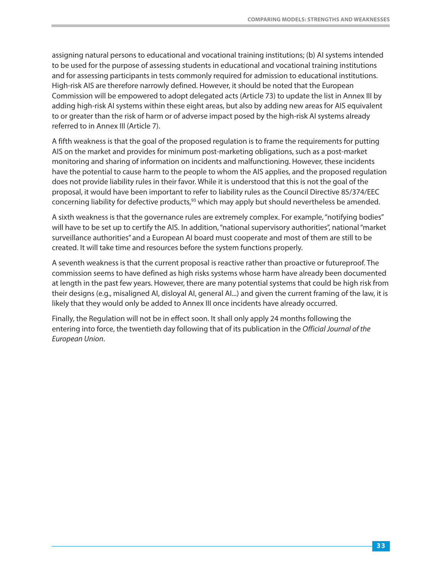assigning natural persons to educational and vocational training institutions; (b) AI systems intended to be used for the purpose of assessing students in educational and vocational training institutions and for assessing participants in tests commonly required for admission to educational institutions. High-risk AIS are therefore narrowly defined. However, it should be noted that the European Commission will be empowered to adopt delegated acts (Article 73) to update the list in Annex III by adding high-risk AI systems within these eight areas, but also by adding new areas for AIS equivalent to or greater than the risk of harm or of adverse impact posed by the high-risk AI systems already referred to in Annex III (Article 7).

A fifth weakness is that the goal of the proposed regulation is to frame the requirements for putting AIS on the market and provides for minimum post-marketing obligations, such as a post-market monitoring and sharing of information on incidents and malfunctioning. However, these incidents have the potential to cause harm to the people to whom the AIS applies, and the proposed regulation does not provide liability rules in their favor. While it is understood that this is not the goal of the proposal, it would have been important to refer to liability rules as the Council Directive 85/374/EEC concerning liability for defective products,<sup>93</sup> which may apply but should nevertheless be amended.

A sixth weakness is that the governance rules are extremely complex. For example, "notifying bodies" will have to be set up to certify the AIS. In addition, "national supervisory authorities", national "market surveillance authorities" and a European AI board must cooperate and most of them are still to be created. It will take time and resources before the system functions properly.

A seventh weakness is that the current proposal is reactive rather than proactive or futureproof. The commission seems to have defined as high risks systems whose harm have already been documented at length in the past few years. However, there are many potential systems that could be high risk from their designs (e.g., misaligned AI, disloyal AI, general AI...) and given the current framing of the law, it is likely that they would only be added to Annex III once incidents have already occurred.

Finally, the Regulation will not be in effect soon. It shall only apply 24 months following the entering into force, the twentieth day following that of its publication in the Official Journal of the European Union.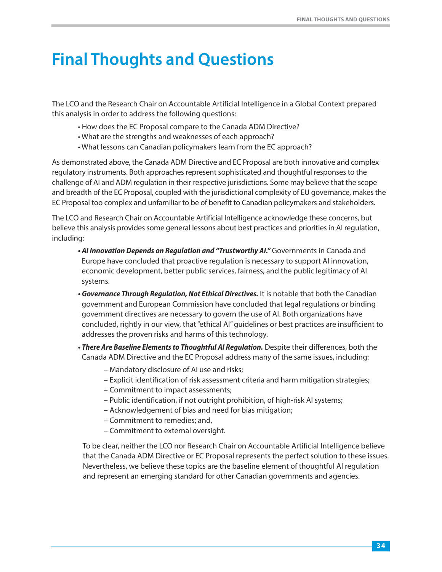# <span id="page-35-0"></span>**Final Thoughts and Questions**

The LCO and the Research Chair on Accountable Artificial Intelligence in a Global Context prepared this analysis in order to address the following questions:

- How does the EC Proposal compare to the Canada ADM Directive?
- What are the strengths and weaknesses of each approach?
- What lessons can Canadian policymakers learn from the EC approach?

As demonstrated above, the Canada ADM Directive and EC Proposal are both innovative and complex regulatory instruments. Both approaches represent sophisticated and thoughtful responses to the challenge of AI and ADM regulation in their respective jurisdictions. Some may believe that the scope and breadth of the EC Proposal, coupled with the jurisdictional complexity of EU governance, makes the EC Proposal too complex and unfamiliar to be of benefit to Canadian policymakers and stakeholders.

The LCO and Research Chair on Accountable Artificial Intelligence acknowledge these concerns, but believe this analysis provides some general lessons about best practices and priorities in AI regulation, including:

- AI Innovation Depends on Regulation and "Trustworthy AI." Governments in Canada and Europe have concluded that proactive regulation is necessary to support AI innovation, economic development, better public services, fairness, and the public legitimacy of AI systems.
- *Governance Through Regulation, Not Ethical Directives.* It is notable that both the Canadian government and European Commission have concluded that legal regulations or binding government directives are necessary to govern the use of AI. Both organizations have concluded, rightly in our view, that "ethical AI" guidelines or best practices are insufficient to addresses the proven risks and harms of this technology.
- *There Are Baseline Elements to Thoughtful AI Regulation.* Despite their differences, both the Canada ADM Directive and the EC Proposal address many of the same issues, including:
	- Mandatory disclosure of AI use and risks;
	- Explicit identification of risk assessment criteria and harm mitigation strategies;
	- Commitment to impact assessments;
	- Public identification, if not outright prohibition, of high-risk AI systems;
	- Acknowledgement of bias and need for bias mitigation;
	- Commitment to remedies; and,
	- Commitment to external oversight.

 To be clear, neither the LCO nor Research Chair on Accountable Artificial Intelligence believe that the Canada ADM Directive or EC Proposal represents the perfect solution to these issues. Nevertheless, we believe these topics are the baseline element of thoughtful AI regulation and represent an emerging standard for other Canadian governments and agencies.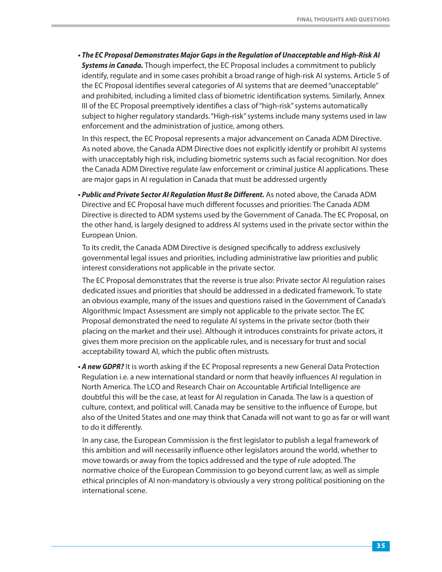*• The EC Proposal Demonstrates Major Gaps in the Regulation of Unacceptable and High-Risk AI Systems in Canada.* Though imperfect, the EC Proposal includes a commitment to publicly identify, regulate and in some cases prohibit a broad range of high-risk AI systems. Article 5 of the EC Proposal identifies several categories of AI systems that are deemed "unacceptable" and prohibited, including a limited class of biometric identification systems. Similarly, Annex III of the EC Proposal preemptively identifies a class of "high-risk" systems automatically subject to higher regulatory standards. "High-risk" systems include many systems used in law enforcement and the administration of justice, among others.

In this respect, the EC Proposal represents a major advancement on Canada ADM Directive. As noted above, the Canada ADM Directive does not explicitly identify or prohibit AI systems with unacceptably high risk, including biometric systems such as facial recognition. Nor does the Canada ADM Directive regulate law enforcement or criminal justice AI applications. These are major gaps in AI regulation in Canada that must be addressed urgently

*• Public and Private Sector AI Regulation Must Be Different.* As noted above, the Canada ADM Directive and EC Proposal have much different focusses and priorities: The Canada ADM Directive is directed to ADM systems used by the Government of Canada. The EC Proposal, on the other hand, is largely designed to address AI systems used in the private sector within the European Union.

To its credit, the Canada ADM Directive is designed specifically to address exclusively governmental legal issues and priorities, including administrative law priorities and public interest considerations not applicable in the private sector.

The EC Proposal demonstrates that the reverse is true also: Private sector AI regulation raises dedicated issues and priorities that should be addressed in a dedicated framework. To state an obvious example, many of the issues and questions raised in the Government of Canada's Algorithmic Impact Assessment are simply not applicable to the private sector. The EC Proposal demonstrated the need to regulate AI systems in the private sector (both their placing on the market and their use). Although it introduces constraints for private actors, it gives them more precision on the applicable rules, and is necessary for trust and social acceptability toward AI, which the public often mistrusts.

*• A new GDPR?* It is worth asking if the EC Proposal represents a new General Data Protection Regulation i.e. a new international standard or norm that heavily influences AI regulation in North America. The LCO and Research Chair on Accountable Artificial Intelligence are doubtful this will be the case, at least for AI regulation in Canada. The law is a question of culture, context, and political will. Canada may be sensitive to the influence of Europe, but also of the United States and one may think that Canada will not want to go as far or will want to do it differently.

In any case, the European Commission is the first legislator to publish a legal framework of this ambition and will necessarily influence other legislators around the world, whether to move towards or away from the topics addressed and the type of rule adopted. The normative choice of the European Commission to go beyond current law, as well as simple ethical principles of AI non-mandatory is obviously a very strong political positioning on the international scene.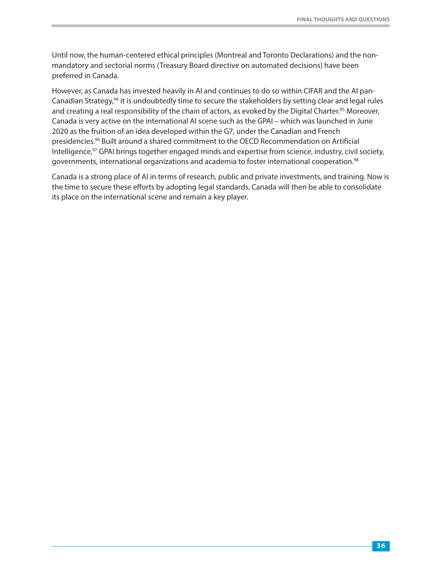Until now, the human-centered ethical principles (Montreal and Toronto Declarations) and the nonmandatory and sectorial norms (Treasury Board directive on automated decisions) have been preferred in Canada.

However, as Canad[a h](#page-42-0)as invested heavily in AI and continues to do so within CIFAR and the AI panCanadia[n S](#page-42-0)trategy,<sup>94</sup> it is undoubtedly time to secure the stakeholders by setting clear and legal rules and creating a real responsibility of the chain of actors, as evoked by the Digital Charter.<sup>95</sup> Moreover, Canada is very active on the international AI scene such as the GPAI – which was launched in June 2020 as the fr[ui](#page-42-0)tion of an idea developed within the G7, under the Canadian and French [p](#page-42-0)residencies.96 Built around a shared commitment to the OECD Recommendation on Artificial [Intelligence,97](#page-42-0) GPAI brings together engaged minds and expertise from science, industry, civi[l s](#page-42-0)ociety, governments, international organizations and academia to foster international [c](#page-42-0)ooperation.<sup>98</sup>

Canada is a strong place of AI in terms of research, public and private investments, and training. Now is the time to secure these efforts by adopting legal standards. Canada will then be able to consolidate its place on the international scene and remain a key player.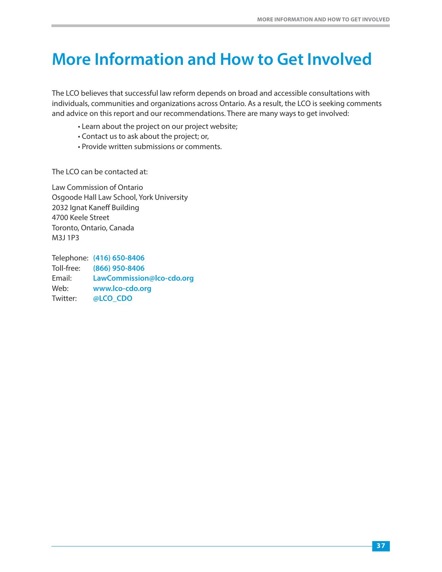# <span id="page-38-0"></span>**More Information and How to Get Involved**

The LCO believes that successful law reform depends on broad and accessible consultations with individuals, communities and organizations across Ontario. As a result, the LCO is seeking comments and advice on this report and our recommendations. There are many ways to get involved:

- Learn about the project on our project website;
- Contact us to ask about the project; or,
- Provide written submissions or comments.

The LCO can be contacted at:

Law Commission of Ontario Osgoode Hall Law School, York University 2032 Ignat Kaneff Building 4700 Keele Street Toronto, Ontario, Canada M3J 1P3

Telephone: **(416) 650-8406** Toll-free: **(866) 950-8406** Email: **[LawCommission@lco-cdo.org](mailto:LawCommission@lco-cdo.org)** Web: **[www.lco-cdo](https://twitter.com/lco_cdo?lang=en).org** Twitter: **@LCO\_CDO**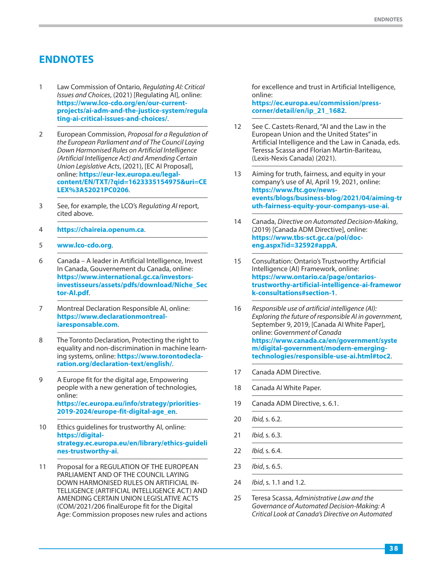## <span id="page-39-0"></span>**ENDNOTES**

- 1 Law Commission of Ontario, Regulating AI: Critical Issues and Choices, (2021) [Regulating AI], online: **[https://www.lco-cdo.org/en/our-current](https://www.lco-cdo.org/en/our-current-projects/ai-adm-and-the-justice-system/regulating-ai-critical-issues-and-choices/)[projects/ai-adm-and-the-justice-system/regula](https://www.lco-cdo.org/en/our-current-projects/ai-adm-and-the-justice-system/regulating-ai-critical-issues-and-choices/) [ting-ai-critical-issues-and-choices/](https://www.lco-cdo.org/en/our-current-projects/ai-adm-and-the-justice-system/regulating-ai-critical-issues-and-choices/)**.
- 2 European Commission, Proposal for a Regulation of the European Parliament and of The Council Laying Down Harmonised Rules on Artificial Intelligence (Artificial Intelligence Act) and Amending Certain Union Legislative Acts, (2021), [EC AI Proposal], online: **[https://eur-lex.europa.eu/legal](https://eur-lex.europa.eu/legal-content/EN/TXT/?qid=1623335154975&uri=CELEX%3A52021PC0206)[content/EN/TXT/?qid=1623335154975&uri=CE](https://eur-lex.europa.eu/legal-content/EN/TXT/?qid=1623335154975&uri=CELEX%3A52021PC0206) [LEX%3A52021PC0206](https://eur-lex.europa.eu/legal-content/EN/TXT/?qid=1623335154975&uri=CELEX%3A52021PC0206)**.
- 3 See, for example, the LCO's Regulating AI report, cited above.
- 4 **<https://chaireia.openum.ca>**.
- 5 **[www.lco-cdo.org](http://www.lco-cdo.org)**.
- 6 Canada A leader in Artificial Intelligence, Invest In Canada, Gouvernement du Canada, online: **[https://www.international.gc.ca/investors](https://www.international.gc.ca/investors-investisseurs/assets/pdfs/download/Niche_Sector-AI.pdf)[investisseurs/assets/pdfs/download/Niche\\_Sec](https://www.international.gc.ca/investors-investisseurs/assets/pdfs/download/Niche_Sector-AI.pdf) [tor-AI.pdf](https://www.international.gc.ca/investors-investisseurs/assets/pdfs/download/Niche_Sector-AI.pdf)**.
- 7 Montreal Declaration Responsible AI, online: **[https://www.declarationmontreal](https://www.declarationmontreal-iaresponsable.com)[iaresponsable.com](https://www.declarationmontreal-iaresponsable.com)**.
- 8 The Toronto Declaration, Protecting the right to equality and non-discrimination in machine learning systems, online: **[https://www.torontodecla](https://www.torontodeclaration.org/declaration-text/english/)[ration.org/declaration-text/english/](https://www.torontodeclaration.org/declaration-text/english/)**.
- 9 A Europe fit for the digital age, Empowering people with a new generation of technologies, online: **[https://ec.europa.eu/info/strategy/priorities-](https://ec.europa.eu/info/strategy/priorities-2019-2024/europe-fit-digital-age_en)[2019-2024/europe-fit-digital-age\\_en](https://ec.europa.eu/info/strategy/priorities-2019-2024/europe-fit-digital-age_en)**.
- 10 Ethics guidelines for trustworthy AI, online: **[https://digital](https://digital-strategy.ec.europa.eu/en/library/ethics-guidelines-trustworthy-ai)[strategy.ec.europa.eu/en/library/ethics-guideli](https://digital-strategy.ec.europa.eu/en/library/ethics-guidelines-trustworthy-ai) [nes-trustworthy-ai](https://digital-strategy.ec.europa.eu/en/library/ethics-guidelines-trustworthy-ai)**.
- 11 Proposal for a REGULATION OF THE EUROPEAN PARLIAMENT AND OF THE COUNCIL LAYING DOWN HARMONISED RULES ON ARTIFICIAL IN-TELLIGENCE (ARTIFICIAL INTELLIGENCE ACT) AND AMENDING CERTAIN UNION LEGISLATIVE ACTS (COM/2021/206 finalEurope fit for the Digital Age: Commission proposes new rules and actions

for excellence and trust in Artificial Intelligence, online: **[https://ec.europa.eu/commission/press](https://ec.europa.eu/commission/presscorner/detail/en/ip_21_1682)[corner/detail/en/ip\\_21\\_1682](https://ec.europa.eu/commission/presscorner/detail/en/ip_21_1682)**.

- 12 See C. Castets-Renard, "AI and the Law in the European Union and the United States" in Artificial Intelligence and the Law in Canada, eds. Teressa Scassa and Florian Martin-Bariteau, (Lexis-Nexis Canada) (2021).
- 13 Aiming for truth, fairness, and equity in your company's use of AI, April 19, 2021, online: **[https://www.ftc.gov/news](https://www.ftc.gov/news-events/blogs/business-blog/2021/04/aiming-truth-fairness-equity-your-companys-use-ai)[events/blogs/business-blog/2021/04/aiming-tr](https://www.ftc.gov/news-events/blogs/business-blog/2021/04/aiming-truth-fairness-equity-your-companys-use-ai) [uth-fairness-equity-your-companys-use-ai](https://www.ftc.gov/news-events/blogs/business-blog/2021/04/aiming-truth-fairness-equity-your-companys-use-ai)**.
- 14 Canada, Directive on Automated Decision-Making, (2019) [Canada ADM Directive], online: **[https://www.tbs-sct.gc.ca/pol/doc](https://www.tbs-sct.gc.ca/pol/doc-eng.aspx?id=32592#appA)[eng.aspx?id=32592#appA](https://www.tbs-sct.gc.ca/pol/doc-eng.aspx?id=32592#appA)**.
- 15 Consultation: Ontario's Trustworthy Artificial Intelligence (AI) Framework, online: **[https://www.ontario.ca/page/ontarios](https://www.ontario.ca/page/ontarios-trustworthy-artificial-intelligence-ai-framework-consultations#section-1)[trustworthy-artificial-intelligence-ai-framewor](https://www.ontario.ca/page/ontarios-trustworthy-artificial-intelligence-ai-framework-consultations#section-1) [k-consultations#section-1](https://www.ontario.ca/page/ontarios-trustworthy-artificial-intelligence-ai-framework-consultations#section-1)**.
- 16 Responsible use of artificial intelligence (AI): Exploring the future of responsible AI in government, September 9, 2019, [Canada AI White Paper], online: Government of Canada **[https://www.canada.ca/en/government/syste](https://www.canada.ca/en/government/system/digital-government/modern-emerging-technologies/responsible-use-ai.html#toc2) [m/digital-government/modern-emerging](https://www.canada.ca/en/government/system/digital-government/modern-emerging-technologies/responsible-use-ai.html#toc2)[technologies/responsible-use-ai.html#toc2](https://www.canada.ca/en/government/system/digital-government/modern-emerging-technologies/responsible-use-ai.html#toc2)**.
- 17 Canada ADM Directive.
- 18 Canada AI White Paper.
- 19 Canada ADM Directive, s. 6.1.
- 20 Ibid, s. 6.2.
- 21 Ibid, s. 6.3.
- 22 Ibid, s. 6.4.
- 23 Ibid, s. 6.5.
- 24 Ibid, s. 1.1 and 1.2.
- 25 Teresa Scassa, Administrative Law and the Governance of Automated Decision-Making: A Critical Look at Canada's Directive on Automated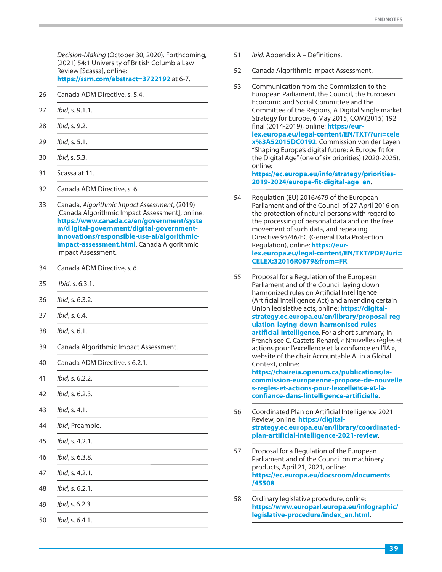<span id="page-40-0"></span>Decision-Making (October 30, 2020). Forthcoming, (2021) 54:1 University of British Columbia Law Review [Scassa], online: **[https://ssrn.com/abstract=3722192](https://ssrn.com/abstract=3722192 )** at 6-7.

- 26 Canada ADM Directive, s. 5.4.
- 27 Ibid, s. 9.1.1.
- 28 Ibid, s. 9.2.
- 29 Ibid, s. 5.1.
- 30 Ibid, s. 5.3.
- 31 Scassa at 11.
- 32 Canada ADM Directive, s. 6.
- 33 Canada, Algorithmic Impact Assessment, (2019) [Canada Algorithmic Impact Assessment], online: **[https://www.canada.ca/en/government/syste](https://www.canada.ca/en/government/system/digital-government/digital-government-innovations/responsible-use-ai/algorithmic-impact-assessment.html) [m/d igital-government/digital-government](https://www.canada.ca/en/government/system/digital-government/digital-government-innovations/responsible-use-ai/algorithmic-impact-assessment.html)[innovations/responsible-use-ai/algorithmic](https://www.canada.ca/en/government/system/digital-government/digital-government-innovations/responsible-use-ai/algorithmic-impact-assessment.html)[impact-assessment.html](https://www.canada.ca/en/government/system/digital-government/digital-government-innovations/responsible-use-ai/algorithmic-impact-assessment.html)**. Canada Algorithmic Impact Assessment.
- 34 Canada ADM Directive, s. 6.
- 35 Ibid, s. 6.3.1.
- 36 Ibid, s. 6.3.2.
- 37 Ibid, s. 6.4.
- 38 Ibid, s. 6.1.
- 39 Canada Algorithmic Impact Assessment.
- 40 Canada ADM Directive, s 6.2.1.
- 41 Ibid, s. 6.2.2.
- 42 Ibid, s. 6.2.3.
- 43 Ibid, s. 4.1.
- 44 Ibid, Preamble.
- 45 Ibid, s. 4.2.1.
- 46 Ibid, s. 6.3.8.
- 47 Ibid, s. 4.2.1.
- 48 Ibid, s. 6.2.1.
- 49 Ibid, s. 6.2.3.
- 50 Ibid, s. 6.4.1.
- 51 *Ibid, Appendix A Definitions.*
- 52 Canada Algorithmic Impact Assessment.
- 53 Communication from the Commission to the European Parliament, the Council, the European Economic and Social Committee and the Committee of the Regions, A Digital Single market Strategy for Europe, 6 May 2015, COM(2015) 192 final (2014-2019), online: **[https://eur](https://eur-lex.europa.eu/legal-content/EN/TXT/?uri=celex%3A52015DC0192)[lex.europa.eu/legal-content/EN/TXT/?uri=cele](https://eur-lex.europa.eu/legal-content/EN/TXT/?uri=celex%3A52015DC0192) [x%3A52015DC0192](https://eur-lex.europa.eu/legal-content/EN/TXT/?uri=celex%3A52015DC0192)**. Commission von der Layen "Shaping Europe's digital future: A Europe fit for the Digital Age" (one of six priorities) (2020-2025), online: **[https://ec.europa.eu/info/strategy/priorities-](https://ec.europa.eu/info/strategy/priorities-2019-2024/europe-fit-digital-age_en)[2019-2024/europe-fit-digital-age\\_en](https://ec.europa.eu/info/strategy/priorities-2019-2024/europe-fit-digital-age_en)**.
- 54 Regulation (EU) 2016/679 of the European Parliament and of the Council of 27 April 2016 on the protection of natural persons with regard to the processing of personal data and on the free movement of such data, and repealing Directive 95/46/EC (General Data Protection Regulation), online: **[https://eur](https://eur-lex.europa.eu/legal-content/EN/TXT/PDF/?uri=CELEX:32016R0679&from=FR)[lex.europa.eu/legal-content/EN/TXT/PDF/?uri=](https://eur-lex.europa.eu/legal-content/EN/TXT/PDF/?uri=CELEX:32016R0679&from=FR) [CELEX:32016R0679&from=FR](https://eur-lex.europa.eu/legal-content/EN/TXT/PDF/?uri=CELEX:32016R0679&from=FR)**.
- 55 Proposal for a Regulation of the European Parliament and of the Council laying down harmonized rules on Artificial Intelligence (Artificial intelligence Act) and amending certain Union legislative acts, online: **[https://digital](https://digital-strategy.ec.europa.eu/en/library/proposal-regulation-laying-down-harmonised-rules-artificial-intelligence)[strategy.ec.europa.eu/en/library/proposal-reg](https://digital-strategy.ec.europa.eu/en/library/proposal-regulation-laying-down-harmonised-rules-artificial-intelligence) [ulation-laying-down-harmonised-rules](https://digital-strategy.ec.europa.eu/en/library/proposal-regulation-laying-down-harmonised-rules-artificial-intelligence)[artificial-intelligence](https://digital-strategy.ec.europa.eu/en/library/proposal-regulation-laying-down-harmonised-rules-artificial-intelligence)**. For a short summary, in French see C. Castets-Renard, « Nouvelles règles et actions pour l'excellence et la confiance en l'IA », website of the chair Accountable AI in a Global Context, online: **[https://chaireia.openum.ca/publications/la](https://chaireia.openum.ca/publications/la-commission-europeenne-propose-de-nouvelles-regles-et-actions-pour-lexcellence-et-la-confiance-dans-lintelligence-artificielle)[commission-europeenne-propose-de-nouvelle](https://chaireia.openum.ca/publications/la-commission-europeenne-propose-de-nouvelles-regles-et-actions-pour-lexcellence-et-la-confiance-dans-lintelligence-artificielle)**

**[s-regles-et-actions-pour-lexcellence-et-la](https://chaireia.openum.ca/publications/la-commission-europeenne-propose-de-nouvelles-regles-et-actions-pour-lexcellence-et-la-confiance-dans-lintelligence-artificielle)[confiance-dans-lintelligence-artificielle](https://chaireia.openum.ca/publications/la-commission-europeenne-propose-de-nouvelles-regles-et-actions-pour-lexcellence-et-la-confiance-dans-lintelligence-artificielle)**.

- 56 Coordinated Plan on Artificial Intelligence 2021 Review, online: **[https://digital](https://digital-strategy.ec.europa.eu/en/library/coordinated-plan-artificial-intelligence-2021-review)[strategy.ec.europa.eu/en/library/coordinated](https://digital-strategy.ec.europa.eu/en/library/coordinated-plan-artificial-intelligence-2021-review)[plan-artificial-intelligence-2021-review](https://digital-strategy.ec.europa.eu/en/library/coordinated-plan-artificial-intelligence-2021-review)**.
- 57 [Proposal for a Regulation of the European](https://ec.europa.eu/docsroom/documents/45508) [Parliament and of the Council on machinery](https://ec.europa.eu/docsroom/documents/45508) [products, April 21, 2021, online:](https://ec.europa.eu/docsroom/documents/45508) **[https://ec.europa.eu/docsroom/documents](https://ec.europa.eu/docsroom/documents/45508) [/45508](https://ec.europa.eu/docsroom/documents/45508)**.
- 58 [Ordinary legislative procedure, online:](https://www.europarl.europa.eu/infographic/legislative-procedure/index_en.html) **[https://www.europarl.europa.eu/infographic/](https://www.europarl.europa.eu/infographic/legislative-procedure/index_en.html) [legislative-procedure/index\\_en.html](https://www.europarl.europa.eu/infographic/legislative-procedure/index_en.html)**.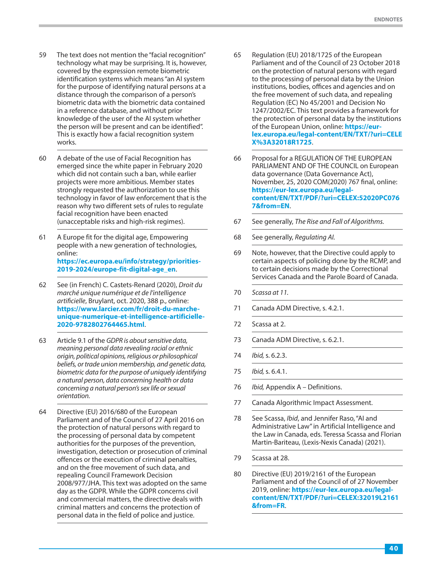- <span id="page-41-0"></span>59 The text does not mention the "facial recognition" technology what may be surprising. It is, however, covered by the expression remote biometric identification systems which means "an AI system for the purpose of identifying natural persons at a distance through the comparison of a person's biometric data with the biometric data contained in a reference database, and without prior knowledge of the user of the AI system whether the person will be present and can be identified". This is exactly how a facial recognition system works.
- 60 A debate of the use of Facial Recognition has emerged since the white paper in February 2020 which did not contain such a ban, while earlier projects were more ambitious. Member states strongly requested the authorization to use this technology in favor of law enforcement that is the reason why two different sets of rules to regulate facial recognition have been enacted (unacceptable risks and high-risk regimes).
- 61 A Europe fit for the digital age, Empowering people with a new generation of technologies, online: **[https://ec.europa.eu/info/strategy/priorities-](https://ec.europa.eu/info/strategy/priorities-2019-2024/europe-fit-digital-age_en)[2019-2024/europe-fit-digital-age\\_en](https://ec.europa.eu/info/strategy/priorities-2019-2024/europe-fit-digital-age_en)**.
- 62 See (in French) C. Castets-Renard (2020), Droit du marché unique numérique et de l'intelligence artificielle, Bruylant, oct. 2020, 388 p., online: **[https://www.larcier.com/fr/droit-du-marche](https://www.larcier.com/fr/droit-du-marche-unique-numerique-et-intelligence-artificielle-2020-9782802764465.html)[unique-numerique-et-intelligence-artificielle-](https://www.larcier.com/fr/droit-du-marche-unique-numerique-et-intelligence-artificielle-2020-9782802764465.html)[2020-9782802764465.html](https://www.larcier.com/fr/droit-du-marche-unique-numerique-et-intelligence-artificielle-2020-9782802764465.html)**.
- 63 Article 9.1 of the GDPR is about sensitive data, meaning personal data revealing racial or ethnic origin, political opinions, religious or philosophical beliefs, or trade union membership, and genetic data, biometric data for the purpose of uniquely identifying a natural person, data concerning health or data concerning a natural person's sex life or sexual orientation.
- 64 Directive (EU) 2016/680 of the European Parliament and of the Council of 27 April 2016 on the protection of natural persons with regard to the processing of personal data by competent authorities for the purposes of the prevention, investigation, detection or prosecution of criminal offences or the execution of criminal penalties, and on the free movement of such data, and repealing Council Framework Decision 2008/977/JHA. This text was adopted on the same day as the GDPR. While the GDPR concerns civil and commercial matters, the directive deals with criminal matters and concerns the protection of personal data in the field of police and justice.
- 65 Regulation (EU) 2018/1725 of the European Parliament and of the Council of 23 October 2018 on the protection of natural persons with regard to the processing of personal data by the Union institutions, bodies, offices and agencies and on the free movement of such data, and repealing Regulation (EC) No 45/2001 and Decision No 1247/2002/EC. This text provides a framework for the protection of personal data by the institutions of the European Union, online: **[https://eur](https://eur-lex.europa.eu/legal-content/EN/TXT/?uri=CELEX%3A32018R1725)[lex.europa.eu/legal-content/EN/TXT/?uri=CELE](https://eur-lex.europa.eu/legal-content/EN/TXT/?uri=CELEX%3A32018R1725) [X%3A32018R1725](https://eur-lex.europa.eu/legal-content/EN/TXT/?uri=CELEX%3A32018R1725)**.
- 66 Proposal for a REGULATION OF THE EUROPEAN PARLIAMENT AND OF THE COUNCIL on European data governance (Data Governance Act), November, 25, 2020 COM(2020) 767 final, online: **[https://eur-lex.europa.eu/legal](https://eur-lex.europa.eu/legal-content/EN/TXT/PDF/?uri=CELEX:52020PC0767&from=EN)[content/EN/TXT/PDF/?uri=CELEX:52020PC076](https://eur-lex.europa.eu/legal-content/EN/TXT/PDF/?uri=CELEX:52020PC0767&from=EN) [7&from=EN](https://eur-lex.europa.eu/legal-content/EN/TXT/PDF/?uri=CELEX:52020PC0767&from=EN)**.
- 67 See generally, The Rise and Fall of Algorithms.
- 68 See generally, Regulating AI.
- 69 Note, however, that the Directive could apply to certain aspects of policing done by the RCMP, and to certain decisions made by the Correctional Services Canada and the Parole Board of Canada.
- 70 Scassa at 11.
- 71 Canada ADM Directive, s. 4.2.1.
- 72 Scassa at 2.
- 73 Canada ADM Directive, s. 6.2.1.
- 74 Ibid, s. 6.2.3.
- 75 Ibid, s. 6.4.1.
- 76 *Ibid, Appendix A Definitions.*
- 77 Canada Algorithmic Impact Assessment.
- 78 See Scassa, Ibid, and Jennifer Raso, "AI and Administrative Law" in Artificial Intelligence and the Law in Canada, eds. Teressa Scassa and Florian Martin-Bariteau, (Lexis-Nexis Canada) (2021).
- 79 Scassa at 28.
- 80 Directive (EU) 2019/2161 of the European Parliament and of the Council of of 27 November 2019, online: **[https://eur-lex.europa.eu/legal](https://eur-lex.europa.eu/legal-content/EN/TXT/PDF/?uri=CELEX:32019L2161&from=FR)[content/EN/TXT/PDF/?uri=CELEX:32019L2161](https://eur-lex.europa.eu/legal-content/EN/TXT/PDF/?uri=CELEX:32019L2161&from=FR) [&from=FR](https://eur-lex.europa.eu/legal-content/EN/TXT/PDF/?uri=CELEX:32019L2161&from=FR)**.